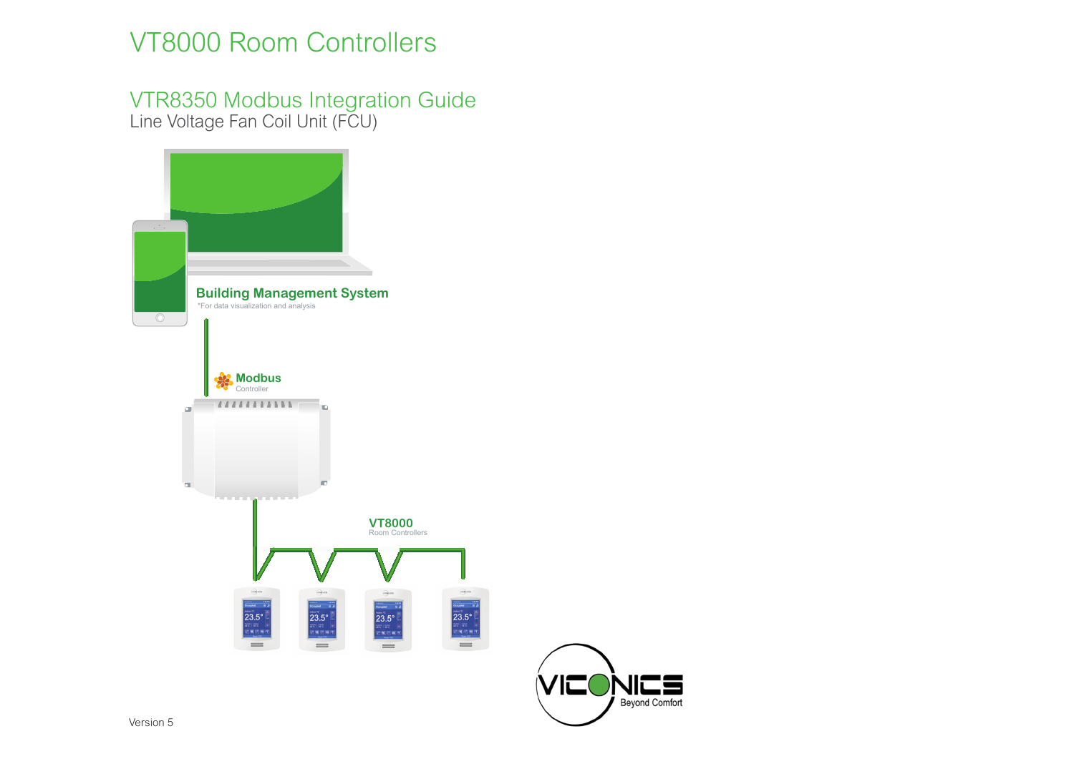# VT8000 Room Controllers

VTR8350 Modbus Integration Guide Line Voltage Fan Coil Unit (FCU)



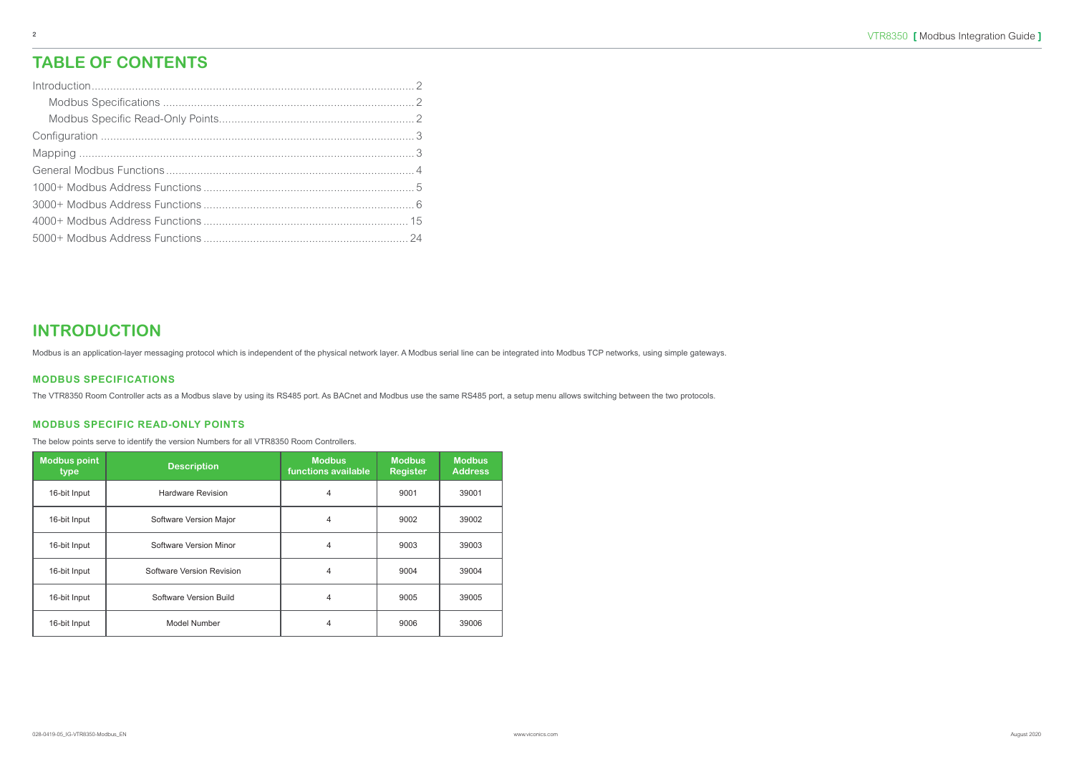## **INTRODUCTION**

Modbus is an application-layer messaging protocol which is independent of the physical network layer. A Modbus serial line can be integrated into Modbus TCP networks, using simple gateways.

#### **MODBUS SPECIFICATIONS**

The VTR8350 Room Controller acts as a Modbus slave by using its RS485 port. As BACnet and Modbus use the same RS485 port, a setup menu allows switching between the two protocols.

#### **MODBUS SPECIFIC READ-ONLY POINTS**

The below points serve to identify the version Numbers for all VTR8350 Room Controllers.

| <b>Modbus point</b><br>type | <b>Description</b>        | <b>Modbus</b><br>functions available | <b>Modbus</b><br><b>Register</b> | <b>Modbus</b><br><b>Address</b> |
|-----------------------------|---------------------------|--------------------------------------|----------------------------------|---------------------------------|
| 16-bit Input                | <b>Hardware Revision</b>  | 4                                    | 9001                             | 39001                           |
| 16-bit Input                | Software Version Major    | 4                                    | 9002                             | 39002                           |
| 16-bit Input                | Software Version Minor    | 4                                    | 9003                             | 39003                           |
| 16-bit Input                | Software Version Revision | 4                                    | 9004                             | 39004                           |
| 16-bit Input                | Software Version Build    | 4                                    | 9005                             | 39005                           |
| 16-bit Input                | Model Number              | 4                                    | 9006                             | 39006                           |

## **TABLE OF CONTENTS**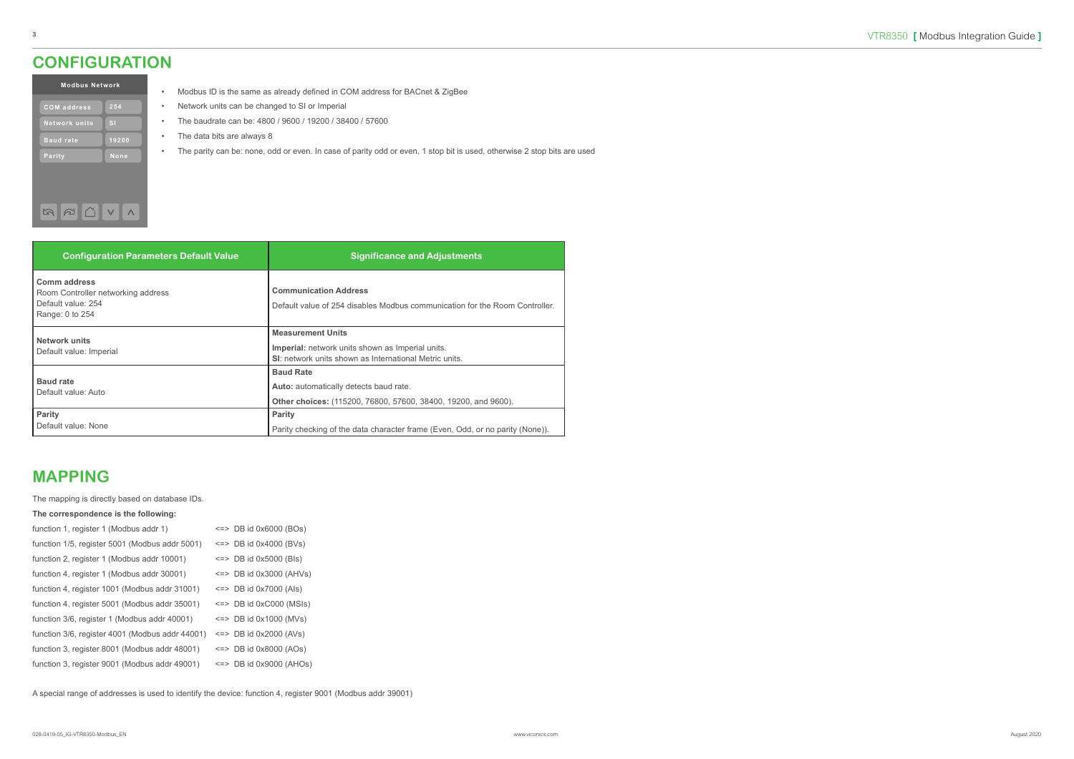#### **MAPPING**

The mapping is directly based on database IDs.

#### **The correspondence is the following:**

| function 1, register 1 (Modbus addr 1)          | $\le$ => DB id 0x6000 (BOs)   |
|-------------------------------------------------|-------------------------------|
| function 1/5, register 5001 (Modbus addr 5001)  | $\leq$ => DB id 0x4000 (BVs)  |
| function 2, register 1 (Modbus addr 10001)      | $\le$ => DB id 0x5000 (Bls)   |
| function 4, register 1 (Modbus addr 30001)      | $\leq$ => DB id 0x3000 (AHVs) |
| function 4, register 1001 (Modbus addr 31001)   | $\leq$ DB id 0x7000 (Als)     |
| function 4, register 5001 (Modbus addr 35001)   | $\le$ => DB id 0xC000 (MSIs)  |
| function 3/6, register 1 (Modbus addr 40001)    | $\le$ => DB id 0x1000 (MVs)   |
| function 3/6, register 4001 (Modbus addr 44001) | $\leq$ DB id 0x2000 (AVs)     |
| function 3, register 8001 (Modbus addr 48001)   | $\le$ => DB id 0x8000 (AOs)   |
| function 3, register 9001 (Modbus addr 49001)   | $\le$ => DB id 0x9000 (AHOs)  |

A special range of addresses is used to identify the device: function 4, register 9001 (Modbus addr 39001)

| <b>Modbus Network</b> |              |  |  |  |  |  |  |
|-----------------------|--------------|--|--|--|--|--|--|
| <b>COM</b> address    | 254          |  |  |  |  |  |  |
| <b>Network units</b>  | $\mathbf{S}$ |  |  |  |  |  |  |
| <b>Baud rate</b>      | 19200        |  |  |  |  |  |  |
| Parity                | None         |  |  |  |  |  |  |
|                       |              |  |  |  |  |  |  |
|                       |              |  |  |  |  |  |  |

كالكاسنة

- Modbus ID is the same as already defined in COM address for BACnet & ZigBee
- Network units can be changed to SI or Imperial
- The baudrate can be: 4800 / 9600 / 19200 / 38400 / 57600
- The data bits are always 8
- The parity can be: none, odd or even. In case of parity odd or even, 1 stop bit is used, otherwise 2 stop bits are used

| <b>Configuration Parameters Default Value</b>                                                      | <b>Significance and Adjustments</b>                                                                                                                  |
|----------------------------------------------------------------------------------------------------|------------------------------------------------------------------------------------------------------------------------------------------------------|
| <b>Comm address</b><br>Room Controller networking address<br>Default value: 254<br>Range: 0 to 254 | <b>Communication Address</b><br>Default value of 254 disables Modbus communication for the Room Controller.                                          |
| <b>Network units</b><br>Default value: Imperial                                                    | <b>Measurement Units</b><br><b>Imperial:</b> network units shown as Imperial units.<br><b>SI:</b> network units shown as International Metric units. |
| <b>Baud rate</b><br>Default value: Auto                                                            | <b>Baud Rate</b><br><b>Auto:</b> automatically detects baud rate.<br>Other choices: (115200, 76800, 57600, 38400, 19200, and 9600).                  |
| <b>Parity</b><br>Default value: None                                                               | <b>Parity</b><br>Parity checking of the data character frame (Even, Odd, or no parity (None)).                                                       |

#### <span id="page-2-0"></span>**CONFIGURATION**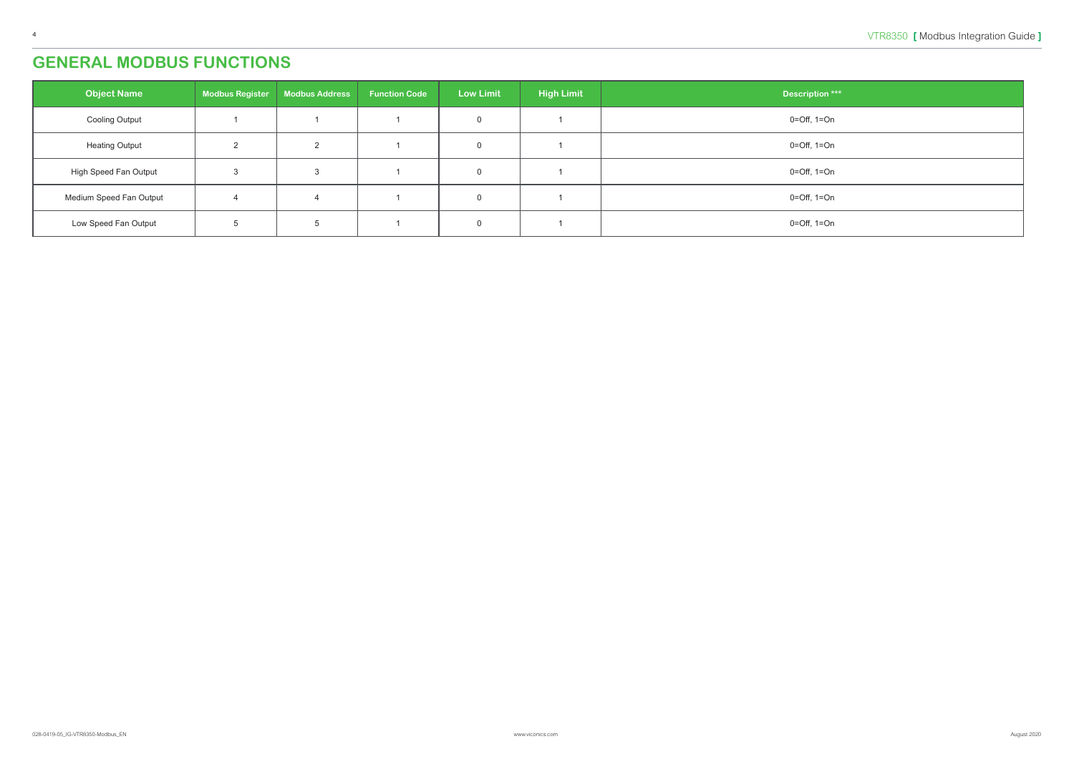## <span id="page-3-0"></span>**GENERAL MODBUS FUNCTIONS**

| <b>Object Name</b>      | <b>Modbus Register</b> | <b>Modbus Address</b> | <b>Function Code</b> | <b>Low Limit</b> | <b>High Limit</b> | <b>Description ***</b>          |
|-------------------------|------------------------|-----------------------|----------------------|------------------|-------------------|---------------------------------|
| <b>Cooling Output</b>   |                        |                       |                      |                  |                   | $0 = \text{Off}, 1 = \text{On}$ |
| <b>Heating Output</b>   |                        | ∠                     |                      |                  |                   | 0=Off, 1=On                     |
| High Speed Fan Output   |                        |                       |                      |                  |                   | $0 = \text{Off}, 1 = \text{On}$ |
| Medium Speed Fan Output |                        |                       |                      |                  |                   | $0 = \text{Off}, 1 = \text{On}$ |
| Low Speed Fan Output    |                        |                       |                      |                  |                   | 0=Off, 1=On                     |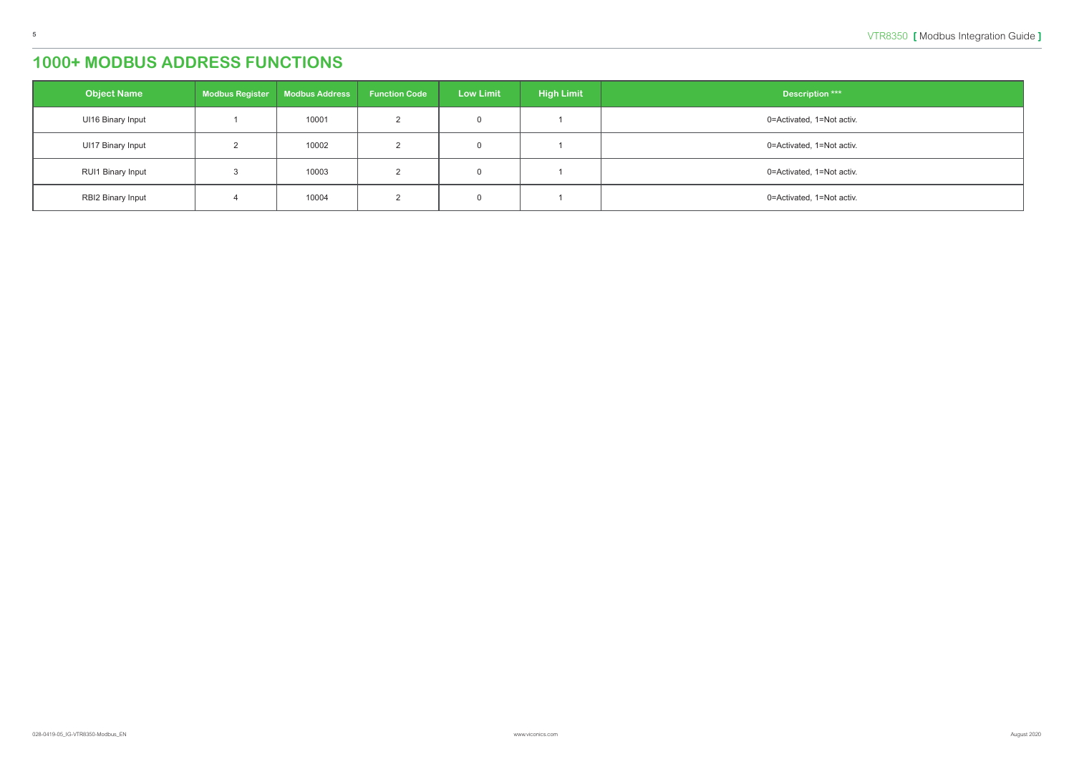<span id="page-4-0"></span>

| <b>Object Name</b>       | <b>Modbus Register</b> | Modbus Address | <b>Function Code</b> | <b>Low Limit</b> | <b>High Limit</b> | <b>Description ***</b>    |
|--------------------------|------------------------|----------------|----------------------|------------------|-------------------|---------------------------|
| UI16 Binary Input        |                        | 10001          |                      |                  |                   | 0=Activated, 1=Not activ. |
| <b>UI17 Binary Input</b> |                        | 10002          |                      |                  |                   | 0=Activated, 1=Not activ. |
| RUI1 Binary Input        |                        | 10003          |                      |                  |                   | 0=Activated, 1=Not activ. |
| <b>RBI2 Binary Input</b> |                        | 10004          |                      |                  |                   | 0=Activated, 1=Not activ. |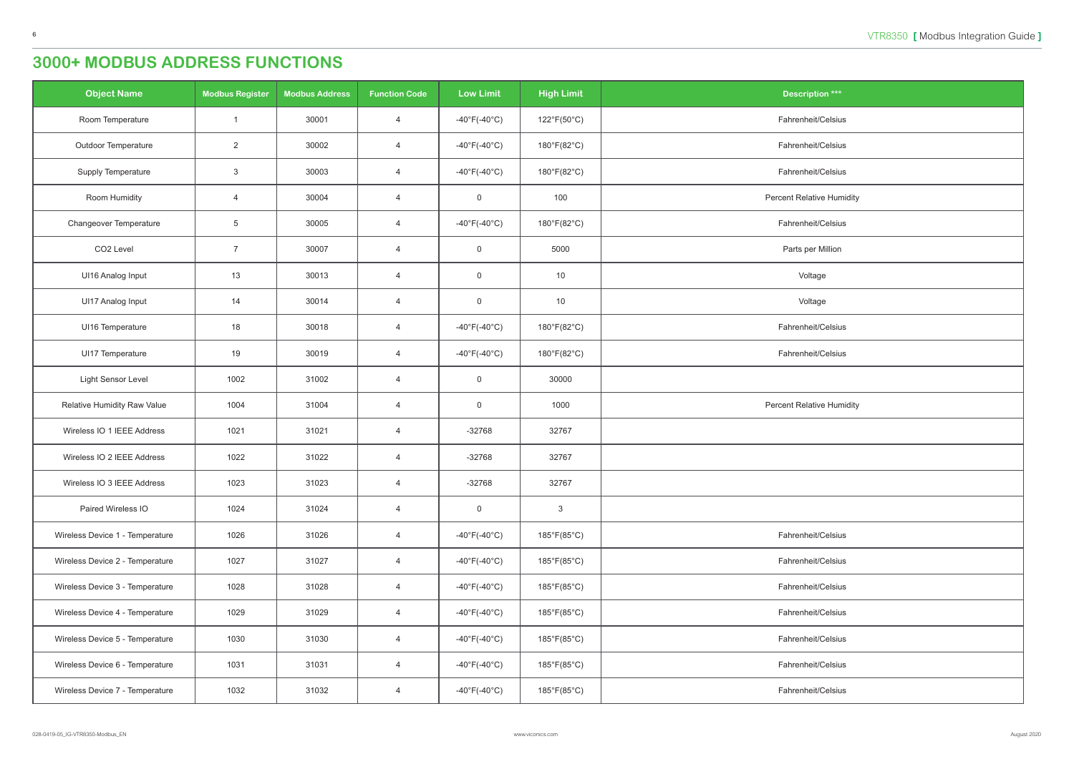<span id="page-5-0"></span>

| <b>Object Name</b>              | <b>Modbus Register</b> | <b>Modbus Address</b> | <b>Function Code</b> | <b>Low Limit</b>                  | <b>High Limit</b>           | <b>Description ***</b>           |
|---------------------------------|------------------------|-----------------------|----------------------|-----------------------------------|-----------------------------|----------------------------------|
| Room Temperature                | $\overline{1}$         | 30001                 | $\overline{4}$       | $-40^{\circ}$ F(-40 $^{\circ}$ C) | $122^{\circ}F(50^{\circ}C)$ | Fahrenheit/Celsius               |
| Outdoor Temperature             | $\overline{2}$         | 30002                 | $\overline{4}$       | $-40^{\circ}$ F(-40 $^{\circ}$ C) | 180°F(82°C)                 | Fahrenheit/Celsius               |
| Supply Temperature              | $\mathbf{3}$           | 30003                 | $\overline{4}$       | $-40^{\circ}$ F(-40 $^{\circ}$ C) | 180°F(82°C)                 | Fahrenheit/Celsius               |
| Room Humidity                   | $\overline{4}$         | 30004                 | $\overline{4}$       | $\overline{0}$                    | 100                         | <b>Percent Relative Humidity</b> |
| Changeover Temperature          | $5\phantom{.0}$        | 30005                 | $\overline{4}$       | $-40^{\circ}$ F( $-40^{\circ}$ C) | $180^{\circ}F(82^{\circ}C)$ | Fahrenheit/Celsius               |
| CO <sub>2</sub> Level           | $\overline{7}$         | 30007                 | $\overline{4}$       | $\mathsf 0$                       | 5000                        | Parts per Million                |
| UI16 Analog Input               | 13                     | 30013                 | $\overline{4}$       | $\overline{0}$                    | 10                          | Voltage                          |
| UI17 Analog Input               | 14                     | 30014                 | $\overline{4}$       | $\overline{0}$                    | 10                          | Voltage                          |
| UI16 Temperature                | 18                     | 30018                 | $\overline{4}$       | $-40^{\circ}$ F(-40 $^{\circ}$ C) | 180°F(82°C)                 | Fahrenheit/Celsius               |
| UI17 Temperature                | 19                     | 30019                 | $\overline{4}$       | $-40^{\circ}$ F(-40 $^{\circ}$ C) | 180°F(82°C)                 | Fahrenheit/Celsius               |
| Light Sensor Level              | 1002                   | 31002                 | $\overline{4}$       | $\overline{0}$                    | 30000                       |                                  |
| Relative Humidity Raw Value     | 1004                   | 31004                 | $\overline{4}$       | $\overline{0}$                    | 1000                        | <b>Percent Relative Humidity</b> |
| Wireless IO 1 IEEE Address      | 1021                   | 31021                 | $\overline{4}$       | $-32768$                          | 32767                       |                                  |
| Wireless IO 2 IEEE Address      | 1022                   | 31022                 | $\overline{4}$       | $-32768$                          | 32767                       |                                  |
| Wireless IO 3 IEEE Address      | 1023                   | 31023                 | $\overline{4}$       | $-32768$                          | 32767                       |                                  |
| Paired Wireless IO              | 1024                   | 31024                 | $\overline{4}$       | $\overline{0}$                    | $\mathbf{3}$                |                                  |
| Wireless Device 1 - Temperature | 1026                   | 31026                 | $\overline{4}$       | -40 $\degree$ F(-40 $\degree$ C)  | 185°F(85°C)                 | Fahrenheit/Celsius               |
| Wireless Device 2 - Temperature | 1027                   | 31027                 | $\overline{4}$       | $-40^{\circ}$ F(-40 $^{\circ}$ C) | 185°F(85°C)                 | Fahrenheit/Celsius               |
| Wireless Device 3 - Temperature | 1028                   | 31028                 | $\overline{4}$       | -40°F(-40°C)                      | $185^{\circ}F(85^{\circ}C)$ | Fahrenheit/Celsius               |
| Wireless Device 4 - Temperature | 1029                   | 31029                 | $\overline{4}$       | -40°F(-40°C)                      | 185°F(85°C)                 | Fahrenheit/Celsius               |
| Wireless Device 5 - Temperature | 1030                   | 31030                 | $\overline{4}$       | $-40^{\circ}$ F(-40 $^{\circ}$ C) | 185°F(85°C)                 | Fahrenheit/Celsius               |
| Wireless Device 6 - Temperature | 1031                   | 31031                 | $\overline{4}$       | $-40^{\circ}$ F(-40 $^{\circ}$ C) | 185°F(85°C)                 | Fahrenheit/Celsius               |
| Wireless Device 7 - Temperature | 1032                   | 31032                 | $\overline{4}$       | $-40^{\circ}$ F(-40 $^{\circ}$ C) | $185^{\circ}F(85^{\circ}C)$ | Fahrenheit/Celsius               |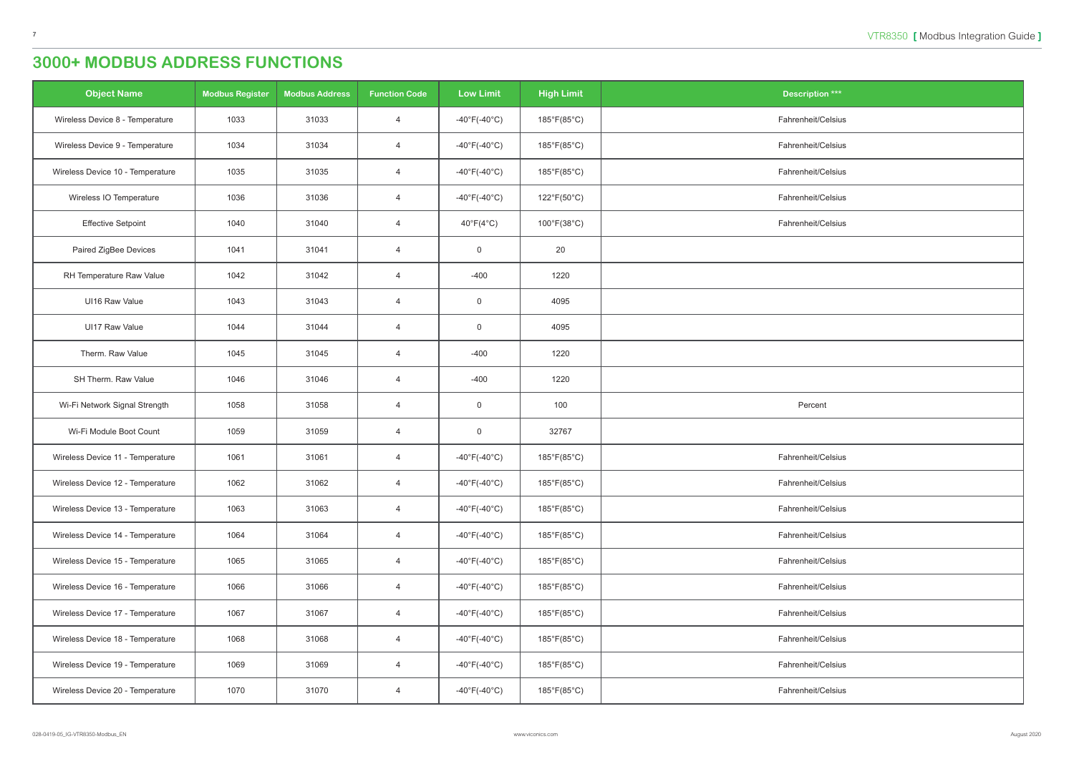| $\frac{1}{2}$ tion $\frac{***}{*}$ |
|------------------------------------|
| it/Celsius                         |
| it/Celsius                         |
| it/Celsius                         |
| it/Celsius                         |
| it/Celsius                         |
|                                    |
|                                    |
|                                    |
|                                    |
|                                    |
|                                    |
| cent                               |
|                                    |
| it/Celsius                         |
| it/Celsius                         |
| it/Celsius                         |
| it/Celsius                         |
| it/Celsius                         |
| it/Celsius                         |
| it/Celsius                         |
| it/Celsius                         |
| it/Celsius                         |
| it/Celsius                         |

| <b>Object Name</b>               | <b>Modbus Register</b> | <b>Modbus Address</b> | <b>Function Code</b> | <b>Low Limit</b>                  | <b>High Limit</b>           | <b>Description ***</b> |
|----------------------------------|------------------------|-----------------------|----------------------|-----------------------------------|-----------------------------|------------------------|
| Wireless Device 8 - Temperature  | 1033                   | 31033                 | $\overline{4}$       | $-40^{\circ}F(-40^{\circ}C)$      | 185°F(85°C)                 | Fahrenheit/Celsius     |
| Wireless Device 9 - Temperature  | 1034                   | 31034                 | $\overline{4}$       | $-40^{\circ}$ F( $-40^{\circ}$ C) | 185°F(85°C)                 | Fahrenheit/Celsius     |
| Wireless Device 10 - Temperature | 1035                   | 31035                 | $\overline{4}$       | $-40^{\circ}$ F( $-40^{\circ}$ C) | $185^{\circ}F(85^{\circ}C)$ | Fahrenheit/Celsius     |
| Wireless IO Temperature          | 1036                   | 31036                 | 4                    | $-40^{\circ}F(-40^{\circ}C)$      | 122°F(50°C)                 | Fahrenheit/Celsius     |
| <b>Effective Setpoint</b>        | 1040                   | 31040                 | $\overline{4}$       | $40^{\circ}F(4^{\circ}C)$         | $100^{\circ}F(38^{\circ}C)$ | Fahrenheit/Celsius     |
| Paired ZigBee Devices            | 1041                   | 31041                 | $\overline{4}$       | 0                                 | 20                          |                        |
| RH Temperature Raw Value         | 1042                   | 31042                 | $\overline{4}$       | $-400$                            | 1220                        |                        |
| UI16 Raw Value                   | 1043                   | 31043                 | $\overline{4}$       | 0                                 | 4095                        |                        |
| UI17 Raw Value                   | 1044                   | 31044                 | $\overline{4}$       | 0                                 | 4095                        |                        |
| Therm. Raw Value                 | 1045                   | 31045                 | $\overline{4}$       | $-400$                            | 1220                        |                        |
| SH Therm. Raw Value              | 1046                   | 31046                 | 4                    | $-400$                            | 1220                        |                        |
| Wi-Fi Network Signal Strength    | 1058                   | 31058                 | $\overline{4}$       | 0                                 | 100                         | Percent                |
| Wi-Fi Module Boot Count          | 1059                   | 31059                 | $\overline{4}$       | $\mathsf 0$                       | 32767                       |                        |
| Wireless Device 11 - Temperature | 1061                   | 31061                 | $\overline{4}$       | $-40^{\circ}F(-40^{\circ}C)$      | 185°F(85°C)                 | Fahrenheit/Celsius     |
| Wireless Device 12 - Temperature | 1062                   | 31062                 | 4                    | $-40^{\circ}F(-40^{\circ}C)$      | 185°F(85°C)                 | Fahrenheit/Celsius     |
| Wireless Device 13 - Temperature | 1063                   | 31063                 | $\overline{4}$       | $-40^{\circ}$ F(-40 $^{\circ}$ C) | $185^{\circ}F(85^{\circ}C)$ | Fahrenheit/Celsius     |
| Wireless Device 14 - Temperature | 1064                   | 31064                 | $\overline{4}$       | $-40^{\circ}$ F(-40 $^{\circ}$ C) | 185°F(85°C)                 | Fahrenheit/Celsius     |
| Wireless Device 15 - Temperature | 1065                   | 31065                 | $\overline{4}$       | $-40^{\circ}F(-40^{\circ}C)$      | $185^{\circ}F(85^{\circ}C)$ | Fahrenheit/Celsius     |
| Wireless Device 16 - Temperature | 1066                   | 31066                 | $\overline{4}$       | $-40^{\circ}$ F(-40 $^{\circ}$ C) | $185^{\circ}F(85^{\circ}C)$ | Fahrenheit/Celsius     |
| Wireless Device 17 - Temperature | 1067                   | 31067                 | $\overline{4}$       | $-40^{\circ}F(-40^{\circ}C)$      | $185^{\circ}F(85^{\circ}C)$ | Fahrenheit/Celsius     |
| Wireless Device 18 - Temperature | 1068                   | 31068                 | 4                    | $-40^{\circ}F(-40^{\circ}C)$      | 185°F(85°C)                 | Fahrenheit/Celsius     |
| Wireless Device 19 - Temperature | 1069                   | 31069                 | $\overline{4}$       | $-40^{\circ}$ F(-40 $^{\circ}$ C) | $185^{\circ}F(85^{\circ}C)$ | Fahrenheit/Celsius     |
| Wireless Device 20 - Temperature | 1070                   | 31070                 | $\overline{4}$       | $-40^{\circ}F(-40^{\circ}C)$      | 185°F(85°C)                 | Fahrenheit/Celsius     |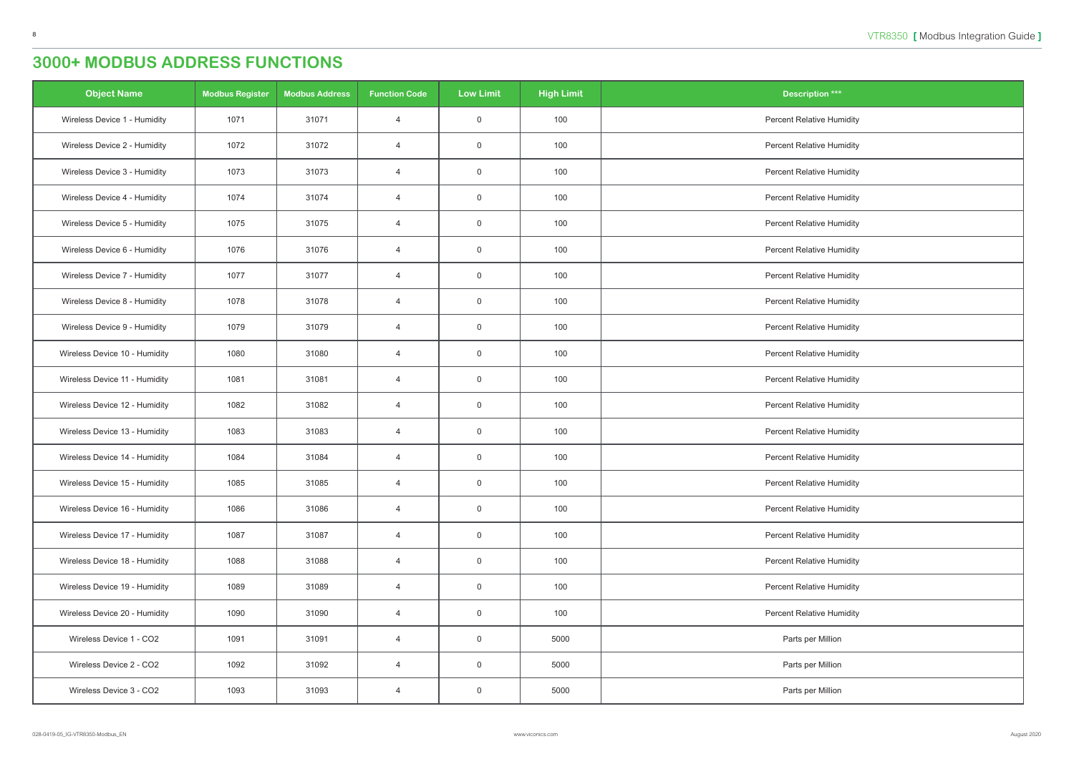| <b>Object Name</b>            | <b>Modbus Register</b> | <b>Modbus Address</b> | <b>Function Code</b> | <b>Low Limit</b> | <b>High Limit</b> | <b>Description ***</b>           |
|-------------------------------|------------------------|-----------------------|----------------------|------------------|-------------------|----------------------------------|
| Wireless Device 1 - Humidity  | 1071                   | 31071                 | $\overline{4}$       | $\mathbf 0$      | 100               | <b>Percent Relative Humidity</b> |
| Wireless Device 2 - Humidity  | 1072                   | 31072                 | $\overline{4}$       | $\overline{0}$   | 100               | <b>Percent Relative Humidity</b> |
| Wireless Device 3 - Humidity  | 1073                   | 31073                 | $\overline{4}$       | $\overline{0}$   | 100               | <b>Percent Relative Humidity</b> |
| Wireless Device 4 - Humidity  | 1074                   | 31074                 | $\overline{4}$       | $\mathbf 0$      | 100               | <b>Percent Relative Humidity</b> |
| Wireless Device 5 - Humidity  | 1075                   | 31075                 | $\overline{4}$       | $\overline{0}$   | 100               | <b>Percent Relative Humidity</b> |
| Wireless Device 6 - Humidity  | 1076                   | 31076                 | $\overline{4}$       | $\mathbf 0$      | 100               | <b>Percent Relative Humidity</b> |
| Wireless Device 7 - Humidity  | 1077                   | 31077                 | $\overline{4}$       | $\overline{0}$   | 100               | <b>Percent Relative Humidity</b> |
| Wireless Device 8 - Humidity  | 1078                   | 31078                 | $\overline{4}$       | $\overline{0}$   | 100               | <b>Percent Relative Humidity</b> |
| Wireless Device 9 - Humidity  | 1079                   | 31079                 | $\overline{4}$       | $\overline{0}$   | 100               | <b>Percent Relative Humidity</b> |
| Wireless Device 10 - Humidity | 1080                   | 31080                 | $\overline{4}$       | $\overline{0}$   | 100               | <b>Percent Relative Humidity</b> |
| Wireless Device 11 - Humidity | 1081                   | 31081                 | $\overline{4}$       | $\mathbf 0$      | 100               | <b>Percent Relative Humidity</b> |
| Wireless Device 12 - Humidity | 1082                   | 31082                 | $\overline{4}$       | $\overline{0}$   | 100               | <b>Percent Relative Humidity</b> |
| Wireless Device 13 - Humidity | 1083                   | 31083                 | $\overline{4}$       | $\mathbf 0$      | 100               | <b>Percent Relative Humidity</b> |
| Wireless Device 14 - Humidity | 1084                   | 31084                 | $\overline{4}$       | $\overline{0}$   | 100               | <b>Percent Relative Humidity</b> |
| Wireless Device 15 - Humidity | 1085                   | 31085                 | $\overline{4}$       | $\overline{0}$   | 100               | <b>Percent Relative Humidity</b> |
| Wireless Device 16 - Humidity | 1086                   | 31086                 | $\overline{4}$       | $\overline{0}$   | 100               | <b>Percent Relative Humidity</b> |
| Wireless Device 17 - Humidity | 1087                   | 31087                 | $\overline{4}$       | $\overline{0}$   | 100               | <b>Percent Relative Humidity</b> |
| Wireless Device 18 - Humidity | 1088                   | 31088                 | $\overline{4}$       | $\overline{0}$   | 100               | <b>Percent Relative Humidity</b> |
| Wireless Device 19 - Humidity | 1089                   | 31089                 | $\overline{4}$       | $\overline{0}$   | 100               | <b>Percent Relative Humidity</b> |
| Wireless Device 20 - Humidity | 1090                   | 31090                 | $\overline{4}$       | $\overline{0}$   | 100               | <b>Percent Relative Humidity</b> |
| Wireless Device 1 - CO2       | 1091                   | 31091                 | $\overline{4}$       | $\overline{0}$   | 5000              | Parts per Million                |
| Wireless Device 2 - CO2       | 1092                   | 31092                 | $\overline{4}$       | $\overline{0}$   | 5000              | Parts per Million                |
| Wireless Device 3 - CO2       | 1093                   | 31093                 | $\overline{4}$       | $\overline{0}$   | 5000              | Parts per Million                |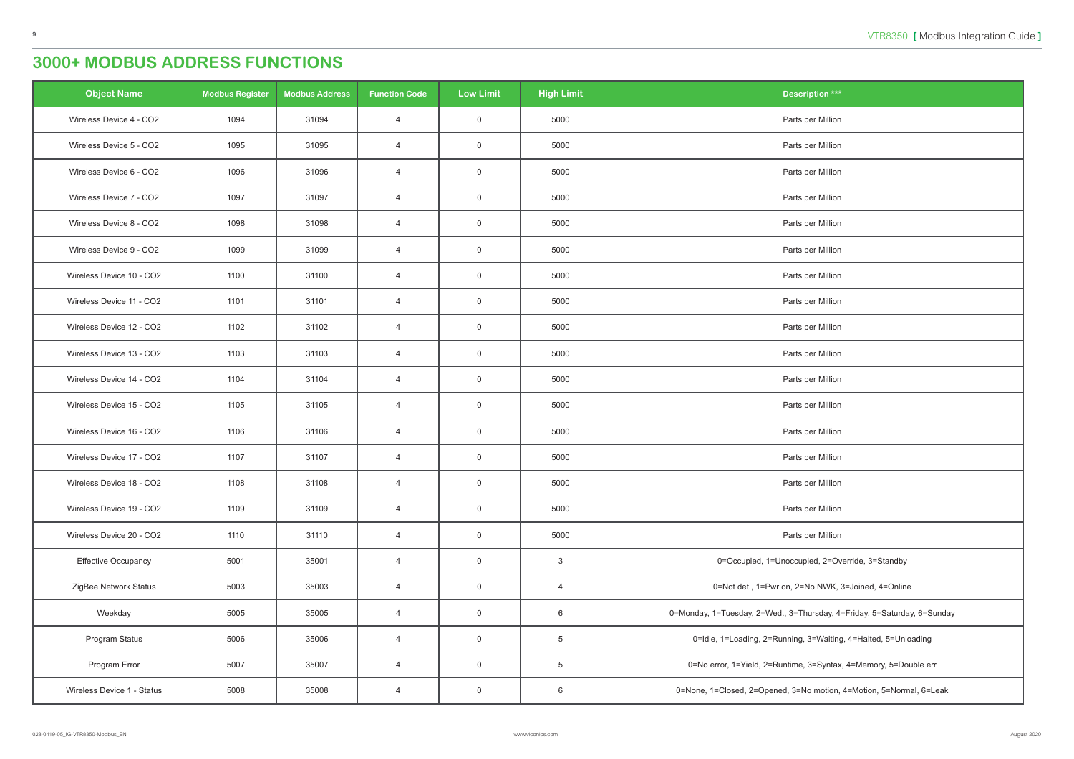| <b>Object Name</b>         | <b>Modbus Register</b> | <b>Modbus Address</b> | <b>Function Code</b> | <b>Low Limit</b> | <b>High Limit</b> | <b>Description ***</b>                                                  |
|----------------------------|------------------------|-----------------------|----------------------|------------------|-------------------|-------------------------------------------------------------------------|
| Wireless Device 4 - CO2    | 1094                   | 31094                 | $\overline{4}$       | $\overline{0}$   | 5000              | Parts per Million                                                       |
| Wireless Device 5 - CO2    | 1095                   | 31095                 | $\overline{4}$       | $\overline{0}$   | 5000              | Parts per Million                                                       |
| Wireless Device 6 - CO2    | 1096                   | 31096                 | $\overline{4}$       | $\overline{0}$   | 5000              | Parts per Million                                                       |
| Wireless Device 7 - CO2    | 1097                   | 31097                 | $\overline{4}$       | $\overline{0}$   | 5000              | Parts per Million                                                       |
| Wireless Device 8 - CO2    | 1098                   | 31098                 | $\overline{4}$       | $\overline{0}$   | 5000              | Parts per Million                                                       |
| Wireless Device 9 - CO2    | 1099                   | 31099                 | $\overline{4}$       | $\mathbf 0$      | 5000              | Parts per Million                                                       |
| Wireless Device 10 - CO2   | 1100                   | 31100                 | $\overline{4}$       | $\overline{0}$   | 5000              | Parts per Million                                                       |
| Wireless Device 11 - CO2   | 1101                   | 31101                 | $\overline{4}$       | $\overline{0}$   | 5000              | Parts per Million                                                       |
| Wireless Device 12 - CO2   | 1102                   | 31102                 | $\overline{4}$       | $\overline{0}$   | 5000              | Parts per Million                                                       |
| Wireless Device 13 - CO2   | 1103                   | 31103                 | $\overline{4}$       | $\overline{0}$   | 5000              | Parts per Million                                                       |
| Wireless Device 14 - CO2   | 1104                   | 31104                 | $\overline{4}$       | $\overline{0}$   | 5000              | Parts per Million                                                       |
| Wireless Device 15 - CO2   | 1105                   | 31105                 | $\overline{4}$       | $\overline{0}$   | 5000              | Parts per Million                                                       |
| Wireless Device 16 - CO2   | 1106                   | 31106                 | $\overline{4}$       | $\overline{0}$   | 5000              | Parts per Million                                                       |
| Wireless Device 17 - CO2   | 1107                   | 31107                 | $\overline{4}$       | $\overline{0}$   | 5000              | Parts per Million                                                       |
| Wireless Device 18 - CO2   | 1108                   | 31108                 | $\overline{4}$       | $\overline{0}$   | 5000              | Parts per Million                                                       |
| Wireless Device 19 - CO2   | 1109                   | 31109                 | $\overline{4}$       | $\overline{0}$   | 5000              | Parts per Million                                                       |
| Wireless Device 20 - CO2   | 1110                   | 31110                 | $\overline{4}$       | $\overline{0}$   | 5000              | Parts per Million                                                       |
| <b>Effective Occupancy</b> | 5001                   | 35001                 | $\overline{4}$       | $\overline{0}$   | $\mathbf{3}$      | 0=Occupied, 1=Unoccupied, 2=Override, 3=Standby                         |
| ZigBee Network Status      | 5003                   | 35003                 | $\overline{4}$       | $\overline{0}$   | $\overline{4}$    | 0=Not det., 1=Pwr on, 2=No NWK, 3=Joined, 4=Online                      |
| Weekday                    | 5005                   | 35005                 | $\overline{4}$       | $\overline{0}$   | 6                 | 0=Monday, 1=Tuesday, 2=Wed., 3=Thursday, 4=Friday, 5=Saturday, 6=Sunday |
| Program Status             | 5006                   | 35006                 | $\overline{4}$       | $\overline{0}$   | $\overline{5}$    | 0=Idle, 1=Loading, 2=Running, 3=Waiting, 4=Halted, 5=Unloading          |
| Program Error              | 5007                   | 35007                 | $\overline{4}$       | $\overline{0}$   | $\overline{5}$    | 0=No error, 1=Yield, 2=Runtime, 3=Syntax, 4=Memory, 5=Double err        |
| Wireless Device 1 - Status | 5008                   | 35008                 | 4                    | $\overline{0}$   | 6                 | 0=None, 1=Closed, 2=Opened, 3=No motion, 4=Motion, 5=Normal, 6=Leak     |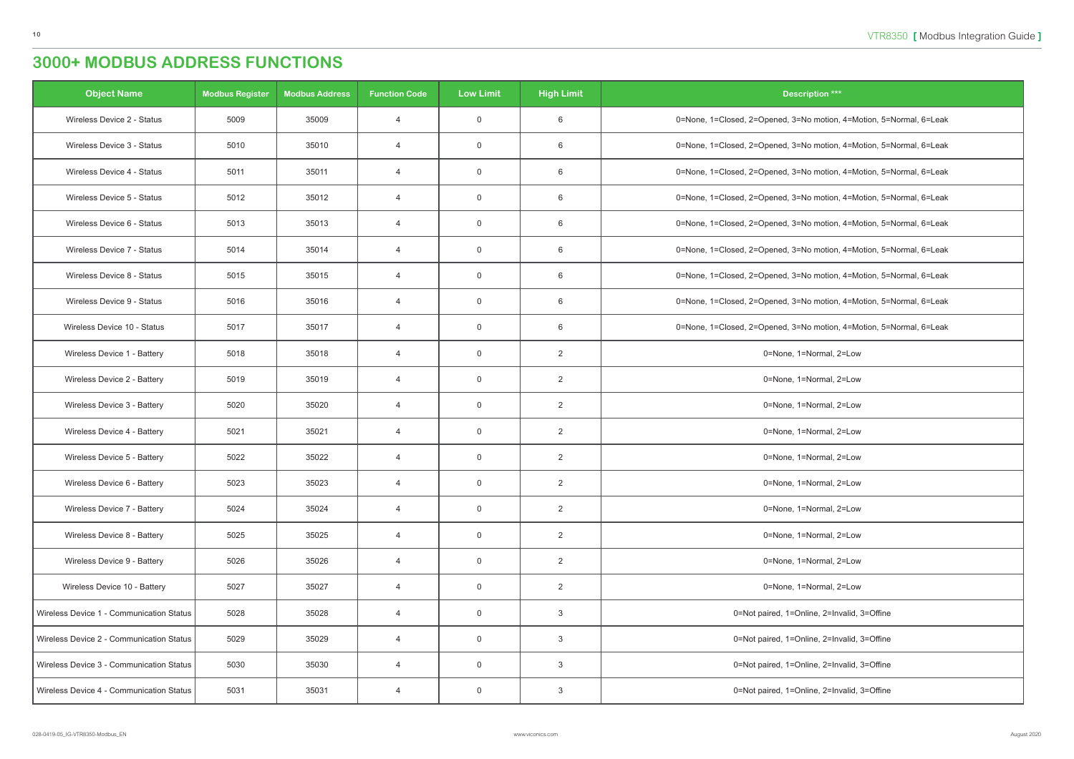| <b>Object Name</b>                       | <b>Modbus Register</b> | <b>Modbus Address</b> | <b>Function Code</b> | <b>Low Limit</b> | <b>High Limit</b> | <b>Description ***</b>                                              |
|------------------------------------------|------------------------|-----------------------|----------------------|------------------|-------------------|---------------------------------------------------------------------|
| Wireless Device 2 - Status               | 5009                   | 35009                 | $\overline{4}$       | $\overline{0}$   | 6                 | 0=None, 1=Closed, 2=Opened, 3=No motion, 4=Motion, 5=Normal, 6=Leak |
| Wireless Device 3 - Status               | 5010                   | 35010                 | $\overline{4}$       | $\overline{0}$   | 6                 | 0=None, 1=Closed, 2=Opened, 3=No motion, 4=Motion, 5=Normal, 6=Leak |
| Wireless Device 4 - Status               | 5011                   | 35011                 | $\overline{4}$       | $\overline{0}$   | 6                 | 0=None, 1=Closed, 2=Opened, 3=No motion, 4=Motion, 5=Normal, 6=Leak |
| Wireless Device 5 - Status               | 5012                   | 35012                 | $\overline{4}$       | $\overline{0}$   | 6                 | 0=None, 1=Closed, 2=Opened, 3=No motion, 4=Motion, 5=Normal, 6=Leak |
| Wireless Device 6 - Status               | 5013                   | 35013                 | $\overline{4}$       | $\overline{0}$   | 6                 | 0=None, 1=Closed, 2=Opened, 3=No motion, 4=Motion, 5=Normal, 6=Leak |
| Wireless Device 7 - Status               | 5014                   | 35014                 | $\overline{4}$       | $\overline{0}$   | 6                 | 0=None, 1=Closed, 2=Opened, 3=No motion, 4=Motion, 5=Normal, 6=Leak |
| Wireless Device 8 - Status               | 5015                   | 35015                 | $\overline{4}$       | $\overline{0}$   | 6                 | 0=None, 1=Closed, 2=Opened, 3=No motion, 4=Motion, 5=Normal, 6=Leak |
| Wireless Device 9 - Status               | 5016                   | 35016                 | $\overline{4}$       | $\overline{0}$   | 6                 | 0=None, 1=Closed, 2=Opened, 3=No motion, 4=Motion, 5=Normal, 6=Leak |
| Wireless Device 10 - Status              | 5017                   | 35017                 | $\overline{4}$       | $\overline{0}$   | 6                 | 0=None, 1=Closed, 2=Opened, 3=No motion, 4=Motion, 5=Normal, 6=Leak |
| Wireless Device 1 - Battery              | 5018                   | 35018                 | $\overline{4}$       | $\overline{0}$   | 2                 | 0=None, 1=Normal, 2=Low                                             |
| Wireless Device 2 - Battery              | 5019                   | 35019                 | $\overline{4}$       | $\overline{0}$   | 2                 | 0=None, 1=Normal, 2=Low                                             |
| Wireless Device 3 - Battery              | 5020                   | 35020                 | $\overline{4}$       | $\overline{0}$   | 2                 | 0=None, 1=Normal, 2=Low                                             |
| Wireless Device 4 - Battery              | 5021                   | 35021                 | $\overline{4}$       | $\overline{0}$   | $\overline{2}$    | 0=None, 1=Normal, 2=Low                                             |
| Wireless Device 5 - Battery              | 5022                   | 35022                 | $\overline{4}$       | $\overline{0}$   | $\overline{2}$    | 0=None, 1=Normal, 2=Low                                             |
| Wireless Device 6 - Battery              | 5023                   | 35023                 | 4                    | $\overline{0}$   | $\overline{2}$    | 0=None, 1=Normal, 2=Low                                             |
| Wireless Device 7 - Battery              | 5024                   | 35024                 | $\overline{4}$       | $\overline{0}$   | $\overline{2}$    | 0=None, 1=Normal, 2=Low                                             |
| Wireless Device 8 - Battery              | 5025                   | 35025                 | 4                    | $\overline{0}$   | $\overline{2}$    | 0=None, 1=Normal, 2=Low                                             |
| Wireless Device 9 - Battery              | 5026                   | 35026                 | $\overline{4}$       | $\overline{0}$   | $\overline{2}$    | 0=None, 1=Normal, 2=Low                                             |
| Wireless Device 10 - Battery             | 5027                   | 35027                 | $\overline{4}$       | $\overline{0}$   | $\overline{2}$    | 0=None, 1=Normal, 2=Low                                             |
| Wireless Device 1 - Communication Status | 5028                   | 35028                 | 4                    | $\overline{0}$   | 3                 | 0=Not paired, 1=Online, 2=Invalid, 3=Offine                         |
| Wireless Device 2 - Communication Status | 5029                   | 35029                 | $\overline{4}$       | $\overline{0}$   | 3                 | 0=Not paired, 1=Online, 2=Invalid, 3=Offine                         |
| Wireless Device 3 - Communication Status | 5030                   | 35030                 | 4                    | $\overline{0}$   | 3                 | 0=Not paired, 1=Online, 2=Invalid, 3=Offine                         |
| Wireless Device 4 - Communication Status | 5031                   | 35031                 | 4                    | $\overline{0}$   | 3                 | 0=Not paired, 1=Online, 2=Invalid, 3=Offine                         |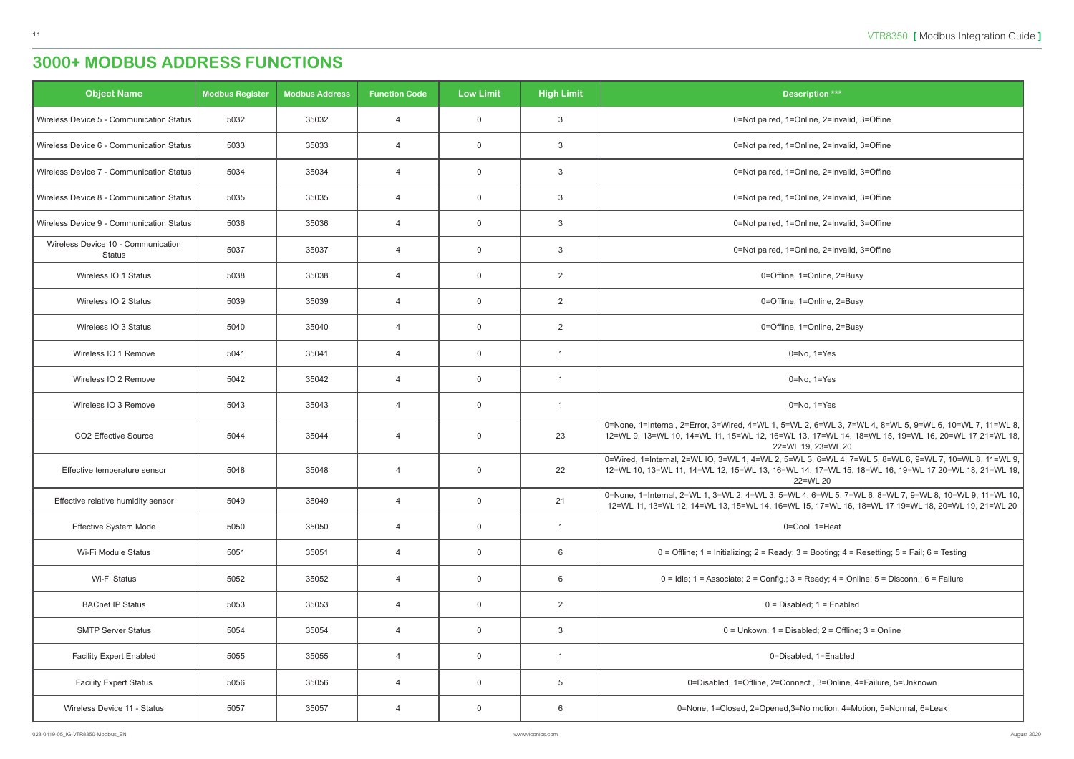| <b>Object Name</b>                                  | <b>Modbus Register</b> | <b>Modbus Address</b> | <b>Function Code</b> | <b>Low Limit</b> | <b>High Limit</b>       | <b>Description ***</b>                                                                                                                                                                                                             |
|-----------------------------------------------------|------------------------|-----------------------|----------------------|------------------|-------------------------|------------------------------------------------------------------------------------------------------------------------------------------------------------------------------------------------------------------------------------|
| Wireless Device 5 - Communication Status            | 5032                   | 35032                 | $\overline{4}$       | $\mathbf 0$      | $\mathbf{3}$            | 0=Not paired, 1=Online, 2=Invalid, 3=Offine                                                                                                                                                                                        |
| Wireless Device 6 - Communication Status            | 5033                   | 35033                 | $\overline{4}$       | $\overline{0}$   | $\mathbf{3}$            | 0=Not paired, 1=Online, 2=Invalid, 3=Offine                                                                                                                                                                                        |
| Wireless Device 7 - Communication Status            | 5034                   | 35034                 | $\overline{4}$       | $\overline{0}$   | $\mathbf{3}$            | 0=Not paired, 1=Online, 2=Invalid, 3=Offine                                                                                                                                                                                        |
| Wireless Device 8 - Communication Status            | 5035                   | 35035                 | $\overline{4}$       | $\overline{0}$   | 3                       | 0=Not paired, 1=Online, 2=Invalid, 3=Offine                                                                                                                                                                                        |
| Wireless Device 9 - Communication Status            | 5036                   | 35036                 | $\overline{4}$       | $\overline{0}$   | 3                       | 0=Not paired, 1=Online, 2=Invalid, 3=Offine                                                                                                                                                                                        |
| Wireless Device 10 - Communication<br><b>Status</b> | 5037                   | 35037                 | $\overline{4}$       | $\overline{0}$   | 3                       | 0=Not paired, 1=Online, 2=Invalid, 3=Offine                                                                                                                                                                                        |
| Wireless IO 1 Status                                | 5038                   | 35038                 | $\overline{4}$       | $\overline{0}$   | $\overline{2}$          | 0=Offline, 1=Online, 2=Busy                                                                                                                                                                                                        |
| Wireless IO 2 Status                                | 5039                   | 35039                 | $\overline{4}$       | $\overline{0}$   | $\overline{2}$          | 0=Offline, 1=Online, 2=Busy                                                                                                                                                                                                        |
| Wireless IO 3 Status                                | 5040                   | 35040                 | $\overline{4}$       | $\overline{0}$   | 2                       | 0=Offline, 1=Online, 2=Busy                                                                                                                                                                                                        |
| Wireless IO 1 Remove                                | 5041                   | 35041                 | $\overline{4}$       | $\overline{0}$   | $\overline{1}$          | $0 = No, 1 = Yes$                                                                                                                                                                                                                  |
| Wireless IO 2 Remove                                | 5042                   | 35042                 | $\overline{4}$       | $\overline{0}$   | $\overline{1}$          | $0 = No$ , $1 = Yes$                                                                                                                                                                                                               |
| Wireless IO 3 Remove                                | 5043                   | 35043                 | $\overline{4}$       | $\overline{0}$   | $\overline{\mathbf{1}}$ | $0 = No$ , $1 = Yes$                                                                                                                                                                                                               |
| CO2 Effective Source                                | 5044                   | 35044                 | $\overline{4}$       | $\overline{0}$   | 23                      | 0=None, 1=Internal, 2=Error, 3=Wired, 4=WL 1, 5=WL 2, 6=WL 3, 7=WL 4, 8=WL 5, 9=WL 6, 10=WL 7, 11=WL 8,<br>12=WL 9, 13=WL 10, 14=WL 11, 15=WL 12, 16=WL 13, 17=WL 14, 18=WL 15, 19=WL 16, 20=WL 17 21=WL 18,<br>22=WL 19, 23=WL 20 |
| Effective temperature sensor                        | 5048                   | 35048                 | $\overline{4}$       | $\overline{0}$   | 22                      | 0=Wired, 1=Internal, 2=WL IO, 3=WL 1, 4=WL 2, 5=WL 3, 6=WL 4, 7=WL 5, 8=WL 6, 9=WL 7, 10=WL 8, 11=WL 9,<br>12=WL 10, 13=WL 11, 14=WL 12, 15=WL 13, 16=WL 14, 17=WL 15, 18=WL 16, 19=WL 17 20=WL 18, 21=WL 19, 1<br>22=WL 20        |
| Effective relative humidity sensor                  | 5049                   | 35049                 | $\overline{4}$       | $\overline{0}$   | 21                      | 0=None, 1=Internal, 2=WL 1, 3=WL 2, 4=WL 3, 5=WL 4, 6=WL 5, 7=WL 6, 8=WL 7, 9=WL 8, 10=WL 9, 11=WL 10,<br>12=WL 11, 13=WL 12, 14=WL 13, 15=WL 14, 16=WL 15, 17=WL 16, 18=WL 17 19=WL 18, 20=WL 19, 21=WL 20                        |
| Effective System Mode                               | 5050                   | 35050                 | $\overline{4}$       | $\overline{0}$   | $\overline{1}$          | 0=Cool, 1=Heat                                                                                                                                                                                                                     |
| Wi-Fi Module Status                                 | 5051                   | 35051                 | 4                    | $\mathsf 0$      | 6                       | $0 =$ Offline; 1 = Initializing; 2 = Ready; 3 = Booting; 4 = Resetting; 5 = Fail; 6 = Testing                                                                                                                                      |
| Wi-Fi Status                                        | 5052                   | 35052                 | 4                    | $\overline{0}$   | 6                       | $0 =$ Idle; 1 = Associate; 2 = Config.; 3 = Ready; 4 = Online; 5 = Disconn.; 6 = Failure                                                                                                                                           |
| <b>BACnet IP Status</b>                             | 5053                   | 35053                 | $\overline{4}$       | $\overline{0}$   | $\overline{2}$          | $0 = Disabled$ ; $1 = Enabled$                                                                                                                                                                                                     |
| <b>SMTP Server Status</b>                           | 5054                   | 35054                 | $\overline{4}$       | $\overline{0}$   | $\mathbf{3}$            | $0 =$ Unkown; $1 =$ Disabled; $2 =$ Offline; $3 =$ Online                                                                                                                                                                          |
| <b>Facility Expert Enabled</b>                      | 5055                   | 35055                 | 4                    | $\mathbf 0$      | $\overline{1}$          | 0=Disabled, 1=Enabled                                                                                                                                                                                                              |
| <b>Facility Expert Status</b>                       | 5056                   | 35056                 | $\overline{4}$       | $\overline{0}$   | $5\phantom{.0}$         | 0=Disabled, 1=Offline, 2=Connect., 3=Online, 4=Failure, 5=Unknown                                                                                                                                                                  |
| Wireless Device 11 - Status                         | 5057                   | 35057                 | 4                    | $\overline{0}$   | 6                       | 0=None, 1=Closed, 2=Opened, 3=No motion, 4=Motion, 5=Normal, 6=Leak                                                                                                                                                                |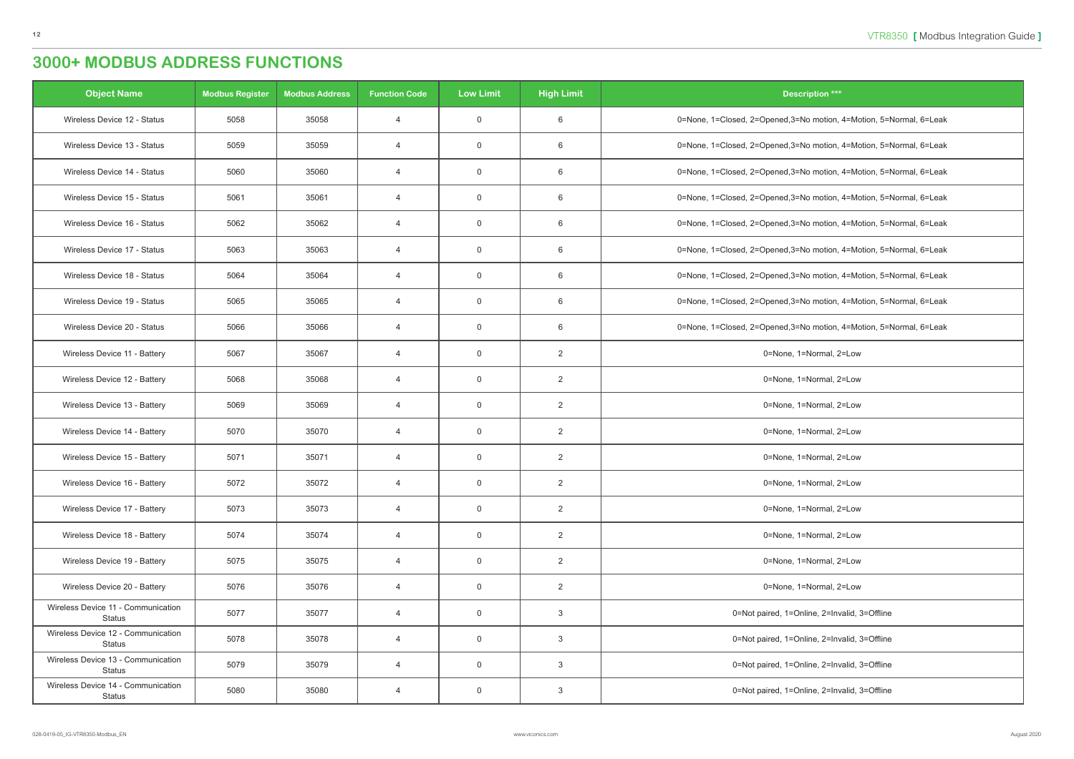| <b>Object Name</b>                                  | <b>Modbus Register</b> | <b>Modbus Address</b> | <b>Function Code</b> | <b>Low Limit</b> | <b>High Limit</b> | <b>Description ***</b>                                              |
|-----------------------------------------------------|------------------------|-----------------------|----------------------|------------------|-------------------|---------------------------------------------------------------------|
| Wireless Device 12 - Status                         | 5058                   | 35058                 | $\overline{4}$       | $\overline{0}$   | 6                 | 0=None, 1=Closed, 2=Opened, 3=No motion, 4=Motion, 5=Normal, 6=Leak |
| Wireless Device 13 - Status                         | 5059                   | 35059                 | $\overline{4}$       | $\mathbf 0$      | 6                 | 0=None, 1=Closed, 2=Opened, 3=No motion, 4=Motion, 5=Normal, 6=Leak |
| Wireless Device 14 - Status                         | 5060                   | 35060                 | $\overline{4}$       | $\mathbf 0$      | 6                 | 0=None, 1=Closed, 2=Opened, 3=No motion, 4=Motion, 5=Normal, 6=Leak |
| Wireless Device 15 - Status                         | 5061                   | 35061                 | $\overline{4}$       | $\mathbf 0$      | 6                 | 0=None, 1=Closed, 2=Opened, 3=No motion, 4=Motion, 5=Normal, 6=Leak |
| Wireless Device 16 - Status                         | 5062                   | 35062                 | $\overline{4}$       | $\mathbf 0$      | 6                 | 0=None, 1=Closed, 2=Opened, 3=No motion, 4=Motion, 5=Normal, 6=Leak |
| Wireless Device 17 - Status                         | 5063                   | 35063                 | $\overline{4}$       | $\overline{0}$   | 6                 | 0=None, 1=Closed, 2=Opened, 3=No motion, 4=Motion, 5=Normal, 6=Leak |
| Wireless Device 18 - Status                         | 5064                   | 35064                 | $\overline{4}$       | $\mathbf 0$      | 6                 | 0=None, 1=Closed, 2=Opened, 3=No motion, 4=Motion, 5=Normal, 6=Leak |
| Wireless Device 19 - Status                         | 5065                   | 35065                 | $\overline{4}$       | $\overline{0}$   | 6                 | 0=None, 1=Closed, 2=Opened, 3=No motion, 4=Motion, 5=Normal, 6=Leak |
| Wireless Device 20 - Status                         | 5066                   | 35066                 | $\overline{4}$       | $\overline{0}$   | 6                 | 0=None, 1=Closed, 2=Opened, 3=No motion, 4=Motion, 5=Normal, 6=Leak |
| Wireless Device 11 - Battery                        | 5067                   | 35067                 | $\overline{4}$       | $\mathbf 0$      | $\overline{2}$    | 0=None, 1=Normal, 2=Low                                             |
| Wireless Device 12 - Battery                        | 5068                   | 35068                 | $\overline{4}$       | $\overline{0}$   | $\overline{2}$    | 0=None, 1=Normal, 2=Low                                             |
| Wireless Device 13 - Battery                        | 5069                   | 35069                 | $\overline{4}$       | $\overline{0}$   | $\overline{2}$    | 0=None, 1=Normal, 2=Low                                             |
| Wireless Device 14 - Battery                        | 5070                   | 35070                 | $\overline{4}$       | $\mathbf 0$      | $\overline{2}$    | 0=None, 1=Normal, 2=Low                                             |
| Wireless Device 15 - Battery                        | 5071                   | 35071                 | $\overline{4}$       | $\overline{0}$   | $\overline{2}$    | 0=None, 1=Normal, 2=Low                                             |
| Wireless Device 16 - Battery                        | 5072                   | 35072                 | 4                    | $\overline{0}$   | $\overline{2}$    | 0=None, 1=Normal, 2=Low                                             |
| Wireless Device 17 - Battery                        | 5073                   | 35073                 | $\overline{4}$       | $\overline{0}$   | $\overline{2}$    | 0=None, 1=Normal, 2=Low                                             |
| Wireless Device 18 - Battery                        | 5074                   | 35074                 | $\overline{4}$       | $\overline{0}$   | $\overline{2}$    | 0=None, 1=Normal, 2=Low                                             |
| Wireless Device 19 - Battery                        | 5075                   | 35075                 | $\overline{4}$       | $\overline{0}$   | $\overline{2}$    | 0=None, 1=Normal, 2=Low                                             |
| Wireless Device 20 - Battery                        | 5076                   | 35076                 | $\overline{4}$       | $\overline{0}$   | $\overline{2}$    | 0=None, 1=Normal, 2=Low                                             |
| Wireless Device 11 - Communication<br><b>Status</b> | 5077                   | 35077                 | $\overline{4}$       | $\overline{0}$   | $\mathbf{3}$      | 0=Not paired, 1=Online, 2=Invalid, 3=Offline                        |
| Wireless Device 12 - Communication<br><b>Status</b> | 5078                   | 35078                 | $\overline{4}$       | $\overline{0}$   | 3                 | 0=Not paired, 1=Online, 2=Invalid, 3=Offline                        |
| Wireless Device 13 - Communication<br>Status        | 5079                   | 35079                 | $\overline{4}$       | $\overline{0}$   | 3                 | 0=Not paired, 1=Online, 2=Invalid, 3=Offline                        |
| Wireless Device 14 - Communication<br>Status        | 5080                   | 35080                 | $\overline{4}$       | $\overline{0}$   | 3                 | 0=Not paired, 1=Online, 2=Invalid, 3=Offline                        |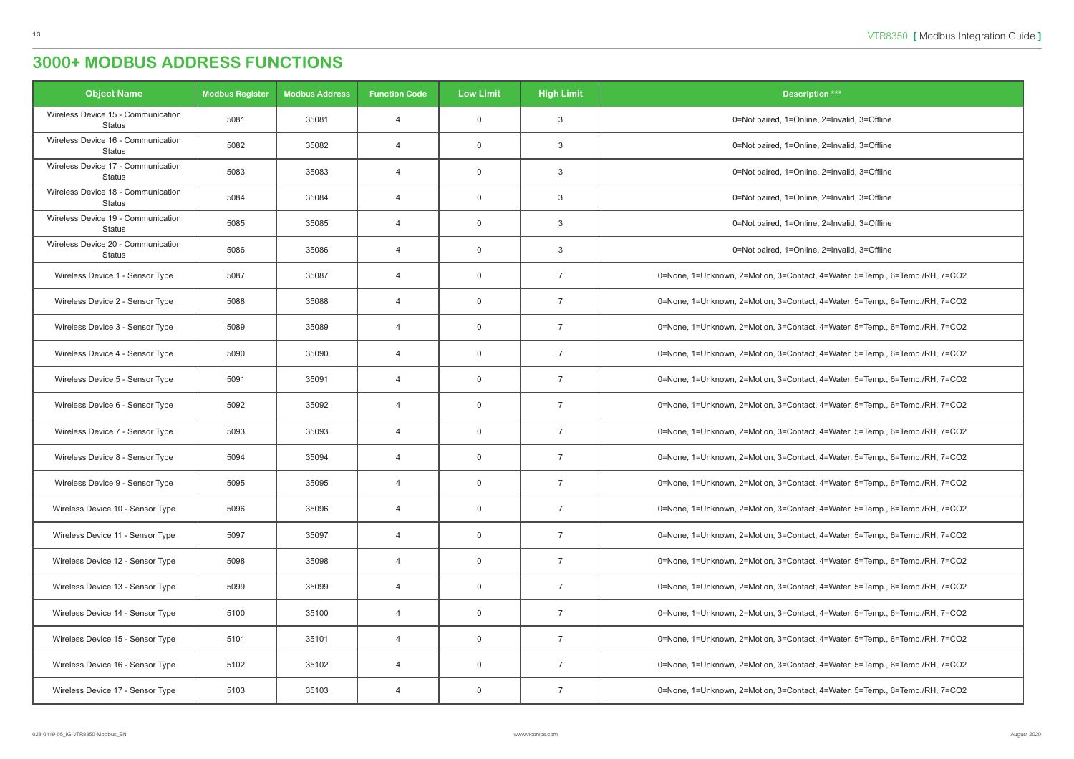| <b>Object Name</b>                                  | <b>Modbus Register</b> | <b>Modbus Address</b> | <b>Function Code</b> | <b>Low Limit</b> | <b>High Limit</b> | <b>Description ***</b>                                                      |
|-----------------------------------------------------|------------------------|-----------------------|----------------------|------------------|-------------------|-----------------------------------------------------------------------------|
| Wireless Device 15 - Communication<br><b>Status</b> | 5081                   | 35081                 | $\overline{4}$       | $\overline{0}$   | 3                 | 0=Not paired, 1=Online, 2=Invalid, 3=Offline                                |
| Wireless Device 16 - Communication<br><b>Status</b> | 5082                   | 35082                 | $\overline{4}$       | $\overline{0}$   | 3                 | 0=Not paired, 1=Online, 2=Invalid, 3=Offline                                |
| Wireless Device 17 - Communication<br><b>Status</b> | 5083                   | 35083                 | $\overline{4}$       | $\overline{0}$   | 3                 | 0=Not paired, 1=Online, 2=Invalid, 3=Offline                                |
| Wireless Device 18 - Communication<br><b>Status</b> | 5084                   | 35084                 | $\overline{4}$       | $\overline{0}$   | 3                 | 0=Not paired, 1=Online, 2=Invalid, 3=Offline                                |
| Wireless Device 19 - Communication<br><b>Status</b> | 5085                   | 35085                 | $\overline{4}$       | $\overline{0}$   | 3                 | 0=Not paired, 1=Online, 2=Invalid, 3=Offline                                |
| Wireless Device 20 - Communication<br>Status        | 5086                   | 35086                 | $\overline{4}$       | $\overline{0}$   | 3                 | 0=Not paired, 1=Online, 2=Invalid, 3=Offline                                |
| Wireless Device 1 - Sensor Type                     | 5087                   | 35087                 | $\overline{4}$       | $\overline{0}$   | $\overline{7}$    | 0=None, 1=Unknown, 2=Motion, 3=Contact, 4=Water, 5=Temp., 6=Temp./RH, 7=CO2 |
| Wireless Device 2 - Sensor Type                     | 5088                   | 35088                 | $\overline{4}$       | $\overline{0}$   | $\overline{7}$    | 0=None, 1=Unknown, 2=Motion, 3=Contact, 4=Water, 5=Temp., 6=Temp./RH, 7=CO2 |
| Wireless Device 3 - Sensor Type                     | 5089                   | 35089                 | $\overline{4}$       | $\overline{0}$   | $\overline{7}$    | 0=None, 1=Unknown, 2=Motion, 3=Contact, 4=Water, 5=Temp., 6=Temp./RH, 7=CO2 |
| Wireless Device 4 - Sensor Type                     | 5090                   | 35090                 | $\overline{4}$       | $\overline{0}$   | $\overline{7}$    | 0=None, 1=Unknown, 2=Motion, 3=Contact, 4=Water, 5=Temp., 6=Temp./RH, 7=CO2 |
| Wireless Device 5 - Sensor Type                     | 5091                   | 35091                 | $\overline{4}$       | $\overline{0}$   | $\overline{7}$    | 0=None, 1=Unknown, 2=Motion, 3=Contact, 4=Water, 5=Temp., 6=Temp./RH, 7=CO2 |
| Wireless Device 6 - Sensor Type                     | 5092                   | 35092                 | $\overline{4}$       | $\overline{0}$   | $\overline{7}$    | 0=None, 1=Unknown, 2=Motion, 3=Contact, 4=Water, 5=Temp., 6=Temp./RH, 7=CO2 |
| Wireless Device 7 - Sensor Type                     | 5093                   | 35093                 | $\overline{4}$       | $\overline{0}$   | $\overline{7}$    | 0=None, 1=Unknown, 2=Motion, 3=Contact, 4=Water, 5=Temp., 6=Temp./RH, 7=CO2 |
| Wireless Device 8 - Sensor Type                     | 5094                   | 35094                 | $\overline{4}$       | $\overline{0}$   | $\overline{7}$    | 0=None, 1=Unknown, 2=Motion, 3=Contact, 4=Water, 5=Temp., 6=Temp./RH, 7=CO2 |
| Wireless Device 9 - Sensor Type                     | 5095                   | 35095                 | 4                    | $\mathbf 0$      |                   | 0=None, 1=Unknown, 2=Motion, 3=Contact, 4=Water, 5=Temp., 6=Temp./RH, 7=CO2 |
| Wireless Device 10 - Sensor Type                    | 5096                   | 35096                 | $\overline{4}$       | $\overline{0}$   | $\overline{7}$    | 0=None, 1=Unknown, 2=Motion, 3=Contact, 4=Water, 5=Temp., 6=Temp./RH, 7=CO2 |
| Wireless Device 11 - Sensor Type                    | 5097                   | 35097                 | 4                    | $\overline{0}$   | $\overline{7}$    | 0=None, 1=Unknown, 2=Motion, 3=Contact, 4=Water, 5=Temp., 6=Temp./RH, 7=CO2 |
| Wireless Device 12 - Sensor Type                    | 5098                   | 35098                 | $\overline{4}$       | $\overline{0}$   | $\overline{7}$    | 0=None, 1=Unknown, 2=Motion, 3=Contact, 4=Water, 5=Temp., 6=Temp./RH, 7=CO2 |
| Wireless Device 13 - Sensor Type                    | 5099                   | 35099                 | $\overline{4}$       | $\overline{0}$   | $\overline{7}$    | 0=None, 1=Unknown, 2=Motion, 3=Contact, 4=Water, 5=Temp., 6=Temp./RH, 7=CO2 |
| Wireless Device 14 - Sensor Type                    | 5100                   | 35100                 | $\overline{4}$       | $\overline{0}$   | $\overline{7}$    | 0=None, 1=Unknown, 2=Motion, 3=Contact, 4=Water, 5=Temp., 6=Temp./RH, 7=CO2 |
| Wireless Device 15 - Sensor Type                    | 5101                   | 35101                 | $\overline{4}$       | $\overline{0}$   | 7                 | 0=None, 1=Unknown, 2=Motion, 3=Contact, 4=Water, 5=Temp., 6=Temp./RH, 7=CO2 |
| Wireless Device 16 - Sensor Type                    | 5102                   | 35102                 | 4                    | $\overline{0}$   | $\overline{7}$    | 0=None, 1=Unknown, 2=Motion, 3=Contact, 4=Water, 5=Temp., 6=Temp./RH, 7=CO2 |
| Wireless Device 17 - Sensor Type                    | 5103                   | 35103                 | $\overline{4}$       | $\overline{0}$   | 7                 | 0=None, 1=Unknown, 2=Motion, 3=Contact, 4=Water, 5=Temp., 6=Temp./RH, 7=CO2 |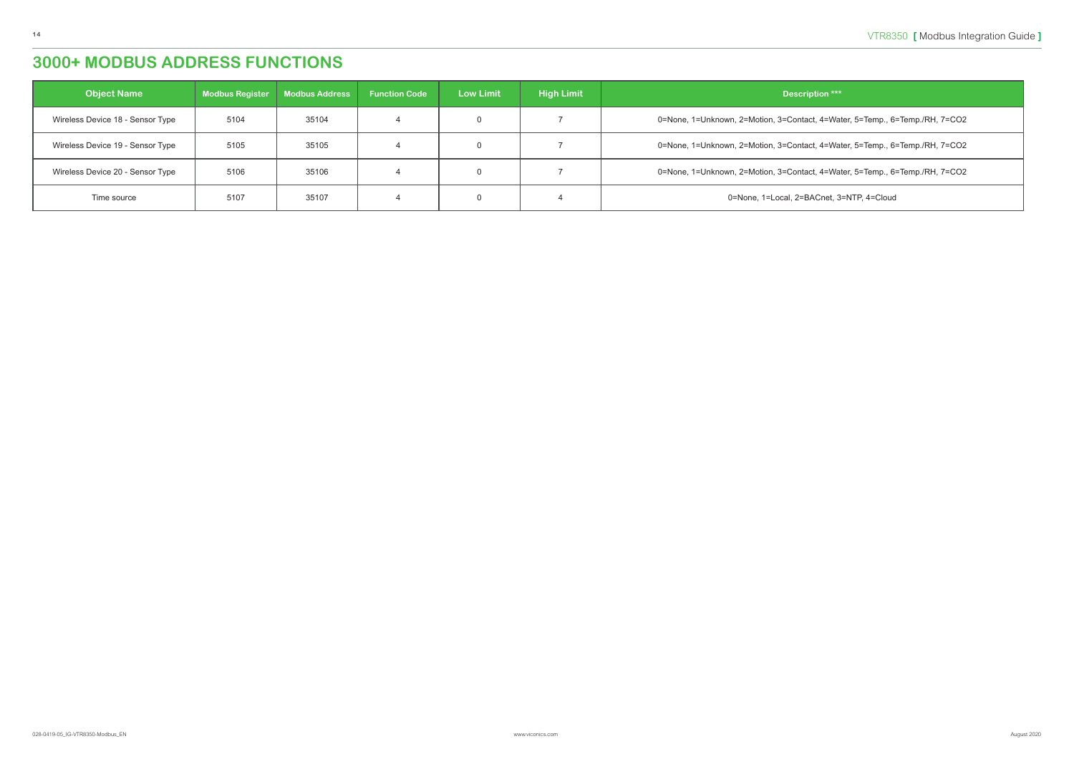act, 4=Water, 5=Temp., 6=Temp./RH, 7=CO2

ot, 4=Water, 5=Temp., 6=Temp./RH, 7=CO2

ot, 4=Water, 5=Temp., 6=Temp./RH, 7=CO2

ACnet, 3=NTP, 4=Cloud

| Description ***                              | <b>High Limit</b> | <b>Low Limit</b> | <b>Function Code</b> | <b>Modbus Address</b> | <b>Modbus Register</b> | <b>Object Name</b>               |
|----------------------------------------------|-------------------|------------------|----------------------|-----------------------|------------------------|----------------------------------|
| 0=None, 1=Unknown, 2=Motion, 3=Contact, 4=Wa |                   | 0                |                      | 35104                 | 5104                   | Wireless Device 18 - Sensor Type |
| 0=None, 1=Unknown, 2=Motion, 3=Contact, 4=Wa |                   | 0                |                      | 35105                 | 5105                   | Wireless Device 19 - Sensor Type |
| 0=None, 1=Unknown, 2=Motion, 3=Contact, 4=Wa |                   | $\mathbf{0}$     |                      | 35106                 | 5106                   | Wireless Device 20 - Sensor Type |
| 0=None, 1=Local, 2=BACnet, 3                 |                   | 0                |                      | 35107                 | 5107                   | Time source                      |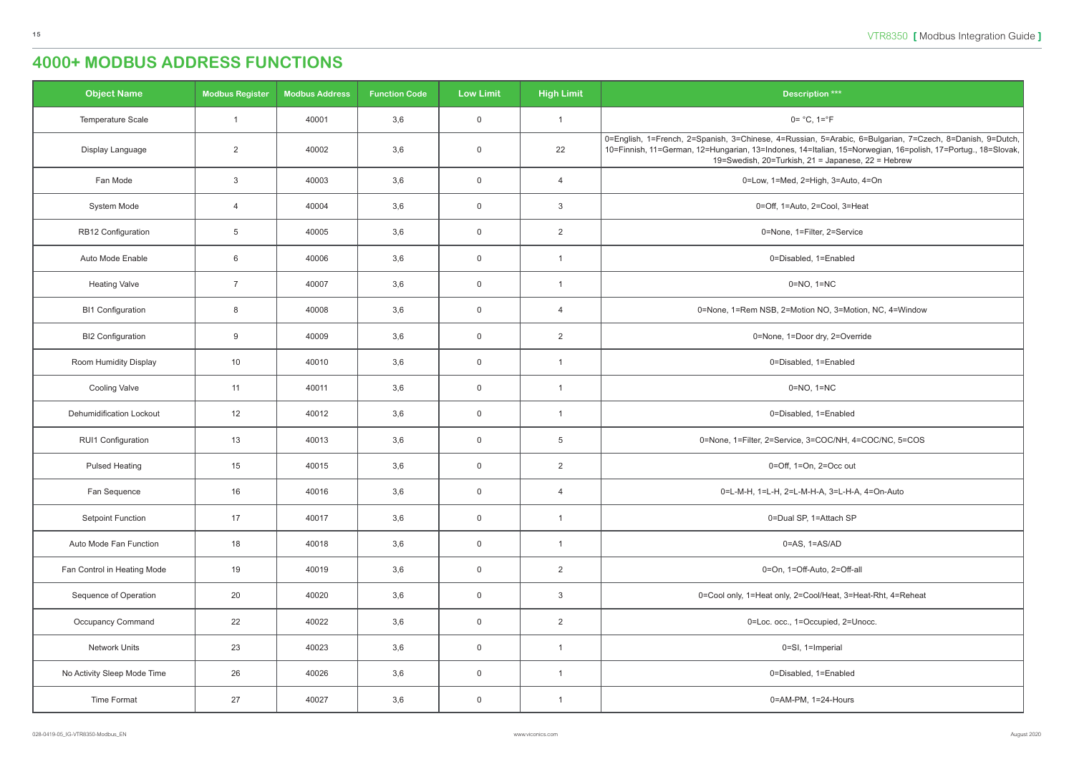<span id="page-14-0"></span>

| <b>Object Name</b>              | <b>Modbus Register</b>  | <b>Modbus Address</b> | <b>Function Code</b> | <b>Low Limit</b> | <b>High Limit</b>       | <b>Description ***</b>                                                                                                                                                                                                                                                         |
|---------------------------------|-------------------------|-----------------------|----------------------|------------------|-------------------------|--------------------------------------------------------------------------------------------------------------------------------------------------------------------------------------------------------------------------------------------------------------------------------|
| Temperature Scale               | $\overline{\mathbf{1}}$ | 40001                 | 3,6                  | $\mathbf 0$      | $\overline{1}$          | $0 = °C$ , $1 = °F$                                                                                                                                                                                                                                                            |
| Display Language                | 2                       | 40002                 | 3,6                  | $\overline{0}$   | 22                      | 0=English, 1=French, 2=Spanish, 3=Chinese, 4=Russian, 5=Arabic, 6=Bulgarian, 7=Czech, 8=Danish, 9=Dutch,<br>10=Finnish, 11=German, 12=Hungarian, 13=Indones, 14=Italian, 15=Norwegian, 16=polish, 17=Portug., 18=Slovak,<br>19=Swedish, 20=Turkish, 21 = Japanese, 22 = Hebrew |
| Fan Mode                        | $\mathbf{3}$            | 40003                 | 3,6                  | $\mathbf 0$      | $\overline{4}$          | 0=Low, 1=Med, 2=High, 3=Auto, 4=On                                                                                                                                                                                                                                             |
| System Mode                     | $\overline{4}$          | 40004                 | 3,6                  | $\overline{0}$   | 3                       | 0=Off, 1=Auto, 2=Cool, 3=Heat                                                                                                                                                                                                                                                  |
| RB12 Configuration              | $5\phantom{.0}$         | 40005                 | 3,6                  | $\mathsf 0$      | 2                       | 0=None, 1=Filter, 2=Service                                                                                                                                                                                                                                                    |
| Auto Mode Enable                | $6\phantom{.}6$         | 40006                 | 3,6                  | $\overline{0}$   | $\overline{1}$          | 0=Disabled, 1=Enabled                                                                                                                                                                                                                                                          |
| <b>Heating Valve</b>            | $\overline{7}$          | 40007                 | 3,6                  | $\mathsf 0$      | $\overline{\mathbf{1}}$ | $0=NO$ , $1=NC$                                                                                                                                                                                                                                                                |
| <b>BI1 Configuration</b>        | 8                       | 40008                 | 3,6                  | $\overline{0}$   | $\overline{4}$          | 0=None, 1=Rem NSB, 2=Motion NO, 3=Motion, NC, 4=Window                                                                                                                                                                                                                         |
| <b>BI2 Configuration</b>        | 9                       | 40009                 | 3,6                  | $\overline{0}$   | 2                       | 0=None, 1=Door dry, 2=Override                                                                                                                                                                                                                                                 |
| Room Humidity Display           | 10                      | 40010                 | 3,6                  | $\mathsf 0$      | $\overline{1}$          | 0=Disabled, 1=Enabled                                                                                                                                                                                                                                                          |
| <b>Cooling Valve</b>            | 11                      | 40011                 | 3,6                  | $\overline{0}$   | $\overline{1}$          | $0=NO$ , $1=NC$                                                                                                                                                                                                                                                                |
| <b>Dehumidification Lockout</b> | 12                      | 40012                 | 3,6                  | $\mathsf 0$      | $\overline{1}$          | 0=Disabled, 1=Enabled                                                                                                                                                                                                                                                          |
| RUI1 Configuration              | 13                      | 40013                 | 3,6                  | $\overline{0}$   | $5\phantom{.0}$         | 0=None, 1=Filter, 2=Service, 3=COC/NH, 4=COC/NC, 5=COS                                                                                                                                                                                                                         |
| <b>Pulsed Heating</b>           | 15                      | 40015                 | 3,6                  | $\mathsf 0$      | $\overline{2}$          | 0=Off, 1=On, 2=Occ out                                                                                                                                                                                                                                                         |
| Fan Sequence                    | 16                      | 40016                 | 3,6                  | $\mathsf 0$      | $\overline{4}$          | 0=L-M-H, 1=L-H, 2=L-M-H-A, 3=L-H-A, 4=On-Auto                                                                                                                                                                                                                                  |
| Setpoint Function               | 17                      | 40017                 | 3,6                  | $\overline{0}$   | $\mathbf{1}$            | 0=Dual SP, 1=Attach SP                                                                                                                                                                                                                                                         |
| Auto Mode Fan Function          | 18                      | 40018                 | 3,6                  | $\mathsf 0$      | $\overline{1}$          | $0 = AS$ , $1 = AS/AD$                                                                                                                                                                                                                                                         |
| Fan Control in Heating Mode     | 19                      | 40019                 | 3,6                  | $\mathsf 0$      | $\overline{2}$          | 0=On, 1=Off-Auto, 2=Off-all                                                                                                                                                                                                                                                    |
| Sequence of Operation           | 20                      | 40020                 | 3,6                  | $\mathsf 0$      | $\mathbf{3}$            | 0=Cool only, 1=Heat only, 2=Cool/Heat, 3=Heat-Rht, 4=Reheat                                                                                                                                                                                                                    |
| Occupancy Command               | 22                      | 40022                 | 3,6                  | $\mathsf 0$      | $\overline{2}$          | 0=Loc. occ., 1=Occupied, 2=Unocc.                                                                                                                                                                                                                                              |
| Network Units                   | 23                      | 40023                 | 3,6                  | $\overline{0}$   | $\mathbf{1}$            | 0=SI, 1=Imperial                                                                                                                                                                                                                                                               |
| No Activity Sleep Mode Time     | 26                      | 40026                 | 3,6                  | $\mathsf 0$      | $\overline{1}$          | 0=Disabled, 1=Enabled                                                                                                                                                                                                                                                          |
| Time Format                     | 27                      | 40027                 | 3,6                  | $\mathsf 0$      | $\overline{1}$          | 0=AM-PM, 1=24-Hours                                                                                                                                                                                                                                                            |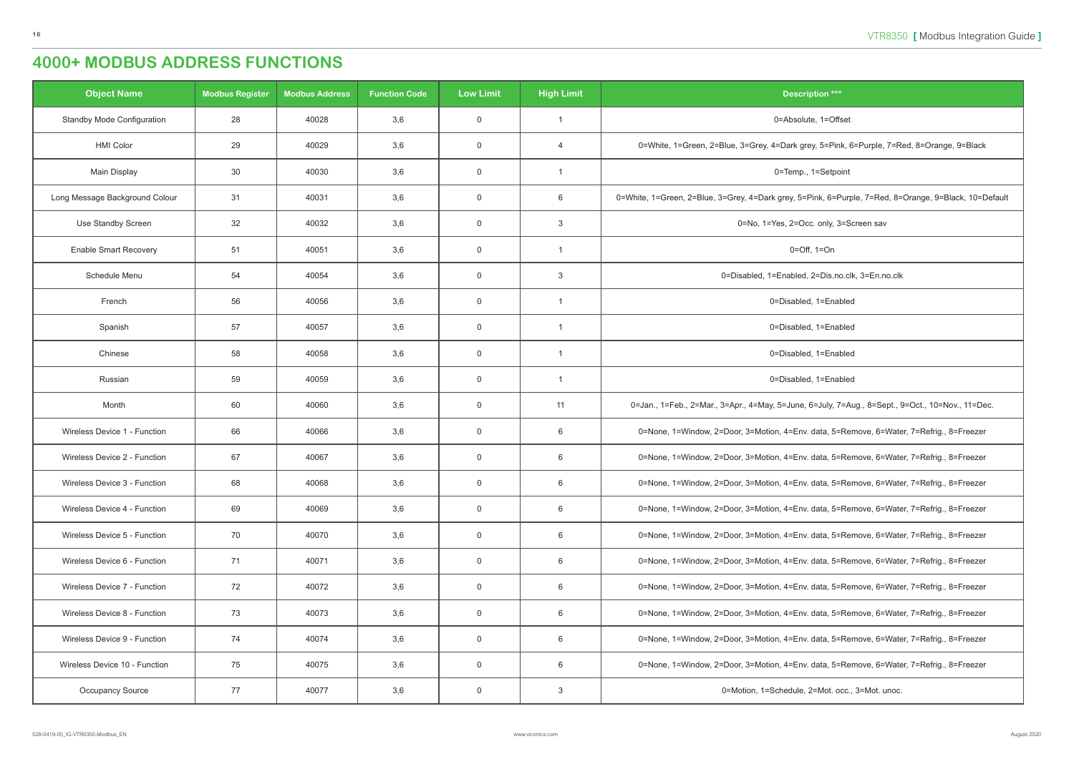| <b>Object Name</b>                | <b>Modbus Register</b> | <b>Modbus Address</b> | <b>Function Code</b> | <b>Low Limit</b> | <b>High Limit</b>       | <b>Description ***</b>                                                                                |
|-----------------------------------|------------------------|-----------------------|----------------------|------------------|-------------------------|-------------------------------------------------------------------------------------------------------|
| <b>Standby Mode Configuration</b> | 28                     | 40028                 | 3,6                  | $\overline{0}$   | $\overline{\mathbf{1}}$ | 0=Absolute, 1=Offset                                                                                  |
| <b>HMI Color</b>                  | 29                     | 40029                 | 3,6                  | $\overline{0}$   | $\overline{4}$          | 0=White, 1=Green, 2=Blue, 3=Grey, 4=Dark grey, 5=Pink, 6=Purple, 7=Red, 8=Orange, 9=Black             |
| <b>Main Display</b>               | 30                     | 40030                 | 3,6                  | $\overline{0}$   | -1                      | 0=Temp., 1=Setpoint                                                                                   |
| Long Message Background Colour    | 31                     | 40031                 | 3,6                  | $\mathsf 0$      | 6                       | 0=White, 1=Green, 2=Blue, 3=Grey, 4=Dark grey, 5=Pink, 6=Purple, 7=Red, 8=Orange, 9=Black, 10=Default |
| Use Standby Screen                | 32                     | 40032                 | 3,6                  | $\overline{0}$   | 3                       | 0=No, 1=Yes, 2=Occ. only, 3=Screen sav                                                                |
| <b>Enable Smart Recovery</b>      | 51                     | 40051                 | 3,6                  | $\overline{0}$   | $\overline{\mathbf{1}}$ | $0=Off$ , $1=On$                                                                                      |
| Schedule Menu                     | 54                     | 40054                 | 3,6                  | $\overline{0}$   | 3                       | 0=Disabled, 1=Enabled, 2=Dis.no.clk, 3=En.no.clk                                                      |
| French                            | 56                     | 40056                 | 3,6                  | $\overline{0}$   | -1                      | 0=Disabled, 1=Enabled                                                                                 |
| Spanish                           | 57                     | 40057                 | 3,6                  | $\overline{0}$   | $\overline{1}$          | 0=Disabled, 1=Enabled                                                                                 |
| Chinese                           | 58                     | 40058                 | 3,6                  | $\overline{0}$   | -1                      | 0=Disabled, 1=Enabled                                                                                 |
| Russian                           | 59                     | 40059                 | 3,6                  | $\overline{0}$   | $\overline{\mathbf{1}}$ | 0=Disabled, 1=Enabled                                                                                 |
| Month                             | 60                     | 40060                 | 3,6                  | $\overline{0}$   | 11                      | 0=Jan., 1=Feb., 2=Mar., 3=Apr., 4=May, 5=June, 6=July, 7=Aug., 8=Sept., 9=Oct., 10=Nov., 11=Dec.      |
| Wireless Device 1 - Function      | 66                     | 40066                 | 3,6                  | $\overline{0}$   | 6                       | 0=None, 1=Window, 2=Door, 3=Motion, 4=Env. data, 5=Remove, 6=Water, 7=Refrig., 8=Freezer              |
| Wireless Device 2 - Function      | 67                     | 40067                 | 3,6                  | $\overline{0}$   | 6                       | 0=None, 1=Window, 2=Door, 3=Motion, 4=Env. data, 5=Remove, 6=Water, 7=Refrig., 8=Freezer              |
| Wireless Device 3 - Function      | 68                     | 40068                 | 3,6                  | $\overline{0}$   | 6                       | 0=None, 1=Window, 2=Door, 3=Motion, 4=Env. data, 5=Remove, 6=Water, 7=Refrig., 8=Freezer              |
| Wireless Device 4 - Function      | 69                     | 40069                 | 3,6                  | $\overline{0}$   | 6                       | 0=None, 1=Window, 2=Door, 3=Motion, 4=Env. data, 5=Remove, 6=Water, 7=Refrig., 8=Freezer              |
| Wireless Device 5 - Function      | 70                     | 40070                 | 3,6                  | $\overline{0}$   | 6                       | 0=None, 1=Window, 2=Door, 3=Motion, 4=Env. data, 5=Remove, 6=Water, 7=Refrig., 8=Freezer              |
| Wireless Device 6 - Function      | 71                     | 40071                 | 3,6                  | $\overline{0}$   | 6                       | 0=None, 1=Window, 2=Door, 3=Motion, 4=Env. data, 5=Remove, 6=Water, 7=Refrig., 8=Freezer              |
| Wireless Device 7 - Function      | 72                     | 40072                 | 3,6                  | $\overline{0}$   | 6                       | 0=None, 1=Window, 2=Door, 3=Motion, 4=Env. data, 5=Remove, 6=Water, 7=Refrig., 8=Freezer              |
| Wireless Device 8 - Function      | 73                     | 40073                 | 3,6                  | $\overline{0}$   | 6                       | 0=None, 1=Window, 2=Door, 3=Motion, 4=Env. data, 5=Remove, 6=Water, 7=Refrig., 8=Freezer              |
| Wireless Device 9 - Function      | 74                     | 40074                 | 3,6                  | $\overline{0}$   | 6                       | 0=None, 1=Window, 2=Door, 3=Motion, 4=Env. data, 5=Remove, 6=Water, 7=Refrig., 8=Freezer              |
| Wireless Device 10 - Function     | 75                     | 40075                 | 3,6                  | $\overline{0}$   | 6                       | 0=None, 1=Window, 2=Door, 3=Motion, 4=Env. data, 5=Remove, 6=Water, 7=Refrig., 8=Freezer              |
| Occupancy Source                  | 77                     | 40077                 | 3,6                  | $\overline{0}$   | $\mathbf{3}$            | 0=Motion, 1=Schedule, 2=Mot. occ., 3=Mot. unoc.                                                       |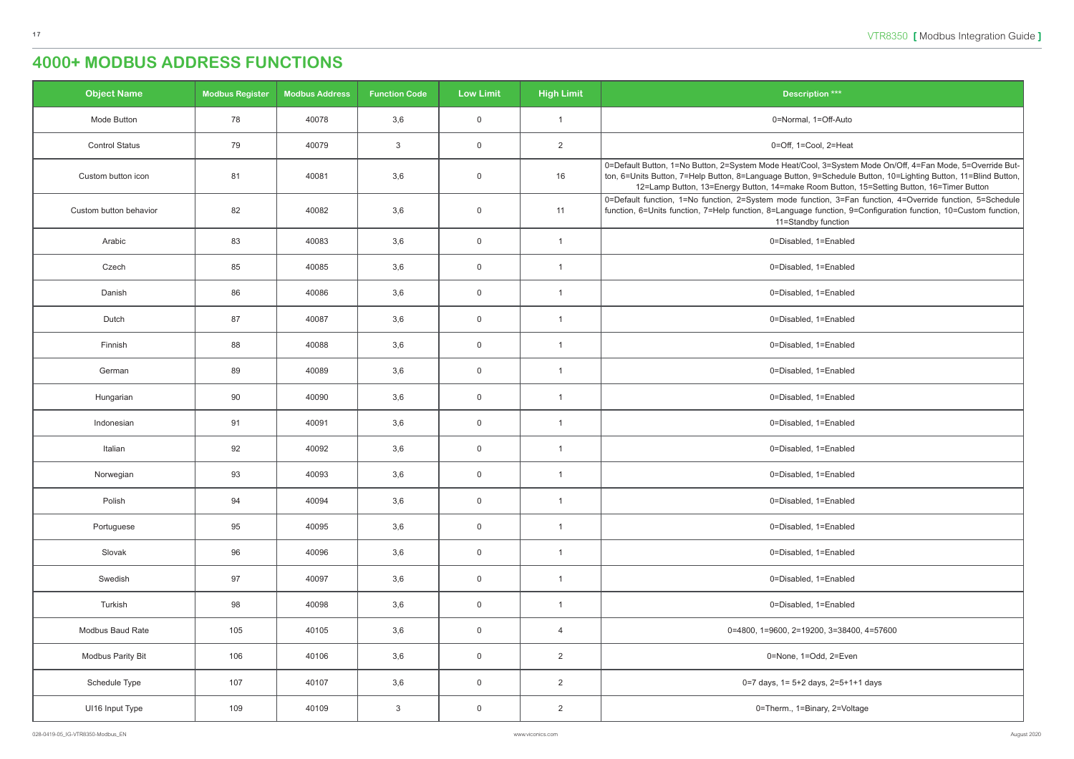| <b>Description ***</b>                                                                                                                                                                                                                                                                                                   |  |  |  |  |  |  |  |  |
|--------------------------------------------------------------------------------------------------------------------------------------------------------------------------------------------------------------------------------------------------------------------------------------------------------------------------|--|--|--|--|--|--|--|--|
| 0=Normal, 1=Off-Auto                                                                                                                                                                                                                                                                                                     |  |  |  |  |  |  |  |  |
| 0=Off, 1=Cool, 2=Heat                                                                                                                                                                                                                                                                                                    |  |  |  |  |  |  |  |  |
| 0=Default Button, 1=No Button, 2=System Mode Heat/Cool, 3=System Mode On/Off, 4=Fan Mode, 5=Override But-<br>ton, 6=Units Button, 7=Help Button, 8=Language Button, 9=Schedule Button, 10=Lighting Button, 11=Blind Button,<br>12=Lamp Button, 13=Energy Button, 14=make Room Button, 15=Setting Button, 16=Timer Button |  |  |  |  |  |  |  |  |
| 0=Default function, 1=No function, 2=System mode function, 3=Fan function, 4=Override function, 5=Schedule<br>function, 6=Units function, 7=Help function, 8=Language function, 9=Configuration function, 10=Custom function,<br>11=Standby function                                                                     |  |  |  |  |  |  |  |  |
| 0=Disabled, 1=Enabled                                                                                                                                                                                                                                                                                                    |  |  |  |  |  |  |  |  |
| 0=Disabled, 1=Enabled                                                                                                                                                                                                                                                                                                    |  |  |  |  |  |  |  |  |
| 0=Disabled, 1=Enabled                                                                                                                                                                                                                                                                                                    |  |  |  |  |  |  |  |  |
| 0=Disabled, 1=Enabled                                                                                                                                                                                                                                                                                                    |  |  |  |  |  |  |  |  |
| 0=Disabled, 1=Enabled                                                                                                                                                                                                                                                                                                    |  |  |  |  |  |  |  |  |
| 0=Disabled, 1=Enabled                                                                                                                                                                                                                                                                                                    |  |  |  |  |  |  |  |  |
| 0=Disabled, 1=Enabled                                                                                                                                                                                                                                                                                                    |  |  |  |  |  |  |  |  |
| 0=Disabled, 1=Enabled                                                                                                                                                                                                                                                                                                    |  |  |  |  |  |  |  |  |
| 0=Disabled, 1=Enabled                                                                                                                                                                                                                                                                                                    |  |  |  |  |  |  |  |  |
| 0=Disabled, 1=Enabled                                                                                                                                                                                                                                                                                                    |  |  |  |  |  |  |  |  |
| 0=Disabled, 1=Enabled                                                                                                                                                                                                                                                                                                    |  |  |  |  |  |  |  |  |
| 0=Disabled, 1=Enabled                                                                                                                                                                                                                                                                                                    |  |  |  |  |  |  |  |  |
| 0=Disabled, 1=Enabled                                                                                                                                                                                                                                                                                                    |  |  |  |  |  |  |  |  |
| 0=Disabled, 1=Enabled                                                                                                                                                                                                                                                                                                    |  |  |  |  |  |  |  |  |
| 0=Disabled, 1=Enabled                                                                                                                                                                                                                                                                                                    |  |  |  |  |  |  |  |  |
| 0=4800, 1=9600, 2=19200, 3=38400, 4=57600                                                                                                                                                                                                                                                                                |  |  |  |  |  |  |  |  |
| 0=None, 1=Odd, 2=Even                                                                                                                                                                                                                                                                                                    |  |  |  |  |  |  |  |  |
| 0=7 days, 1= 5+2 days, 2=5+1+1 days                                                                                                                                                                                                                                                                                      |  |  |  |  |  |  |  |  |
| 0=Therm., 1=Binary, 2=Voltage                                                                                                                                                                                                                                                                                            |  |  |  |  |  |  |  |  |

| <b>Object Name</b>     | <b>Modbus Register</b> | <b>Modbus Address</b> | <b>Function Code</b> | <b>Low Limit</b> | <b>High Limit</b>       | <b>Description ***</b>                                                                                                                                                                                                         |
|------------------------|------------------------|-----------------------|----------------------|------------------|-------------------------|--------------------------------------------------------------------------------------------------------------------------------------------------------------------------------------------------------------------------------|
| Mode Button            | 78                     | 40078                 | 3,6                  | $\overline{0}$   | $\overline{\mathbf{1}}$ | 0=Normal, 1=Off-Auto                                                                                                                                                                                                           |
| <b>Control Status</b>  | 79                     | 40079                 | $\mathbf{3}$         | $\mathbf 0$      | $\overline{2}$          | 0=Off, 1=Cool, 2=Heat                                                                                                                                                                                                          |
| Custom button icon     | 81                     | 40081                 | 3,6                  | $\mathbf 0$      | 16                      | 0=Default Button, 1=No Button, 2=System Mode Heat/Cool, 3=System Mode On/<br>ton, 6=Units Button, 7=Help Button, 8=Language Button, 9=Schedule Button, 10<br>12=Lamp Button, 13=Energy Button, 14=make Room Button, 15=Setting |
| Custom button behavior | 82                     | 40082                 | 3,6                  | $\mathbf 0$      | 11                      | 0=Default function, 1=No function, 2=System mode function, 3=Fan function,<br>function, 6=Units function, 7=Help function, 8=Language function, 9=Configurat<br>11=Standby function                                            |
| Arabic                 | 83                     | 40083                 | 3,6                  | $\overline{0}$   | $\overline{1}$          | 0=Disabled, 1=Enabled                                                                                                                                                                                                          |
| Czech                  | 85                     | 40085                 | 3,6                  | $\overline{0}$   | $\overline{1}$          | 0=Disabled, 1=Enabled                                                                                                                                                                                                          |
| Danish                 | 86                     | 40086                 | 3,6                  | $\overline{0}$   | $\overline{1}$          | 0=Disabled, 1=Enabled                                                                                                                                                                                                          |
| Dutch                  | 87                     | 40087                 | 3,6                  | $\overline{0}$   | $\overline{1}$          | 0=Disabled, 1=Enabled                                                                                                                                                                                                          |
| Finnish                | 88                     | 40088                 | 3,6                  | $\overline{0}$   | $\overline{1}$          | 0=Disabled, 1=Enabled                                                                                                                                                                                                          |
| German                 | 89                     | 40089                 | 3,6                  | $\overline{0}$   | $\overline{1}$          | 0=Disabled, 1=Enabled                                                                                                                                                                                                          |
| Hungarian              | 90                     | 40090                 | 3,6                  | $\mathbf 0$      | $\overline{1}$          | 0=Disabled, 1=Enabled                                                                                                                                                                                                          |
| Indonesian             | 91                     | 40091                 | 3,6                  | $\overline{0}$   | $\overline{1}$          | 0=Disabled, 1=Enabled                                                                                                                                                                                                          |
| Italian                | 92                     | 40092                 | 3,6                  | $\overline{0}$   | $\overline{1}$          | 0=Disabled, 1=Enabled                                                                                                                                                                                                          |
| Norwegian              | 93                     | 40093                 | 3,6                  | $\mathbf 0$      | $\overline{\mathbf{1}}$ | 0=Disabled, 1=Enabled                                                                                                                                                                                                          |
| Polish                 | 94                     | 40094                 | 3,6                  | $\mathbf 0$      | $\overline{1}$          | 0=Disabled, 1=Enabled                                                                                                                                                                                                          |
| Portuguese             | 95                     | 40095                 | 3,6                  | $\overline{0}$   | $\overline{1}$          | 0=Disabled, 1=Enabled                                                                                                                                                                                                          |
| Slovak                 | 96                     | 40096                 | 3,6                  | $\overline{0}$   | $\overline{1}$          | 0=Disabled, 1=Enabled                                                                                                                                                                                                          |
| Swedish                | 97                     | 40097                 | 3,6                  | $\overline{0}$   | $\overline{1}$          | 0=Disabled, 1=Enabled                                                                                                                                                                                                          |
| Turkish                | 98                     | 40098                 | 3,6                  | $\mathsf{O}$     | $\overline{1}$          | 0=Disabled, 1=Enabled                                                                                                                                                                                                          |
| Modbus Baud Rate       | 105                    | 40105                 | 3,6                  | $\overline{0}$   | $\overline{4}$          | 0=4800, 1=9600, 2=19200, 3=38400, 4=57600                                                                                                                                                                                      |
| Modbus Parity Bit      | 106                    | 40106                 | 3,6                  | $\overline{0}$   | $\overline{2}$          | 0=None, 1=Odd, 2=Even                                                                                                                                                                                                          |
| Schedule Type          | 107                    | 40107                 | 3,6                  | $\overline{0}$   | $\overline{2}$          | 0=7 days, 1= 5+2 days, 2=5+1+1 days                                                                                                                                                                                            |
| UI16 Input Type        | 109                    | 40109                 | $\mathbf{3}$         | $\overline{0}$   | $\overline{2}$          | 0=Therm., 1=Binary, 2=Voltage                                                                                                                                                                                                  |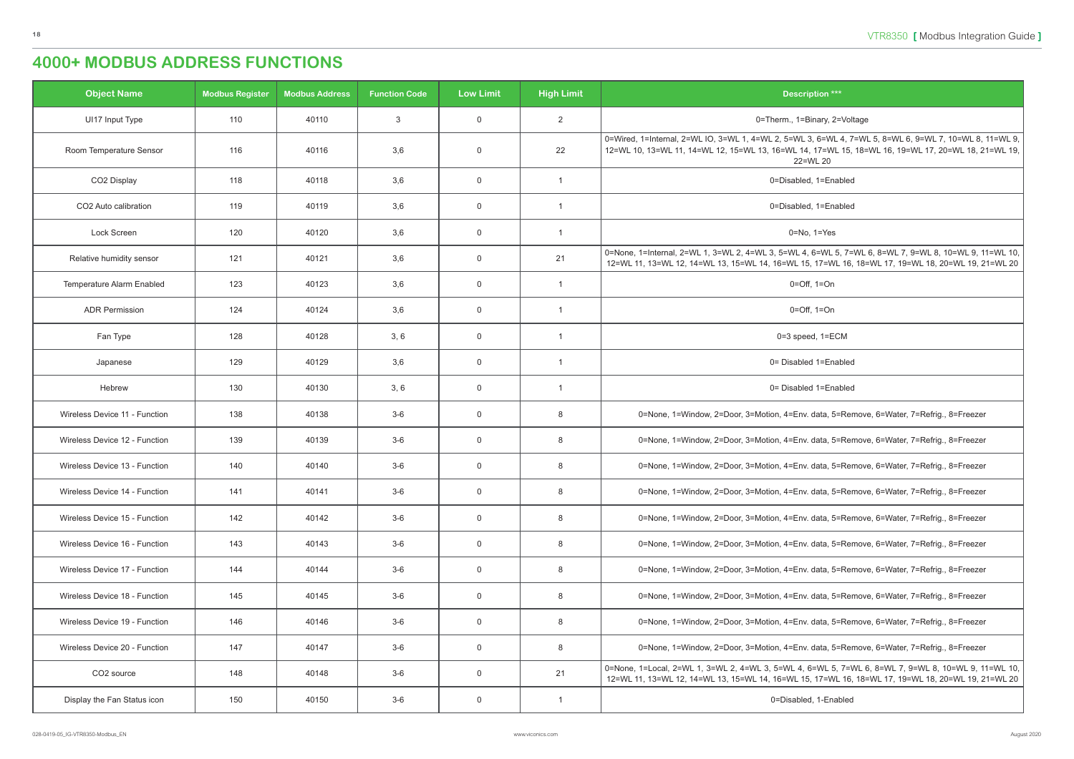| $\frac{1}{2}$ tion $\frac{1}{2}$ |  |
|----------------------------------|--|
|                                  |  |

```
3, 6=WL 4, 7=WL 5, 8=WL 6, 9=WL 7, 10=WL 8, 11=WL 9,
, 17=WL 15, 18=WL 16, 19=WL 17, 20=WL 18, 21=WL 19,
22=WL 20
Relative humidity sensor 121 40. 121 40. 13 - WL 3, 40 - WL 3, 7 - WL 3, 8=WL 6, 8
1, 17=WL 16, 18=WL 17, 19=WL 18, 20=WL 19, 21=WL 20
```
data, 5=Remove, 6=Water, 7=Refrig., 8=Freezer, 3

data, 5=Remove, 6=Water, 7=Refrig., 8=Freezer,

. data, 5=Remove, 6=Water, 7=Refrig., 8=Freezer

. data, 5=Remove, 6=Water, 7=Refrig., 8=Freezer

data, 5=Remove, 6=Water, 7=Refrig., 8=Freezer,

data, 5=Remove, 6=Water, 7=Refrig., 8=Freezer,

. data, 5=Remove, 6=Water, 7=Refrig., 8=Freezer

data, 5=Remove, 6=Water, 7=Refrig., 8=Freezer, 3

data, 5=Remove, 6=Water, 7=Refrig., 8=Freezer,

data, 5=Remove, 6=Water, 7=Refrig., 8=Freezer.

6=WL 5, 7=WL 6, 8=WL 7, 9=WL 8, 10=WL 9, 11=WL 10, , 17=WL 16, 18=WL 17, 19=WL 18, 20=WL 19, 21=WL 20

| <b>Object Name</b>            | <b>Modbus Register</b> | <b>Modbus Address</b> | <b>Function Code</b> | <b>Low Limit</b> | <b>High Limit</b> | <b>Description ***</b>                                                                                                                            |
|-------------------------------|------------------------|-----------------------|----------------------|------------------|-------------------|---------------------------------------------------------------------------------------------------------------------------------------------------|
| UI17 Input Type               | 110                    | 40110                 | 3                    | $\mathsf{O}$     | $\overline{2}$    | 0=Therm., 1=Binary, 2=Voltage                                                                                                                     |
| Room Temperature Sensor       | 116                    | 40116                 | 3,6                  | 0                | 22                | 0=Wired, 1=Internal, 2=WL IO, 3=WL 1, 4=WL 2, 5=WL 3, 6=WL 4, 7=WI<br>12=WL 10, 13=WL 11, 14=WL 12, 15=WL 13, 16=WL 14, 17=WL 15, 18=<br>22=WL 20 |
| CO2 Display                   | 118                    | 40118                 | 3,6                  | $\mathbf 0$      | $\overline{1}$    | 0=Disabled, 1=Enabled                                                                                                                             |
| CO2 Auto calibration          | 119                    | 40119                 | 3,6                  | $\mathsf{O}$     | $\mathbf{1}$      | 0=Disabled, 1=Enabled                                                                                                                             |
| Lock Screen                   | 120                    | 40120                 | 3,6                  | 0                | $\mathbf{1}$      | $0 = No, 1 = Yes$                                                                                                                                 |
| Relative humidity sensor      | 121                    | 40121                 | 3,6                  | 0                | 21                | 0=None, 1=Internal, 2=WL 1, 3=WL 2, 4=WL 3, 5=WL 4, 6=WL 5, 7=WL<br>12=WL 11, 13=WL 12, 14=WL 13, 15=WL 14, 16=WL 15, 17=WL 16, 18=               |
| Temperature Alarm Enabled     | 123                    | 40123                 | 3,6                  | 0                | -1                | $0=Off$ , $1=On$                                                                                                                                  |
| <b>ADR Permission</b>         | 124                    | 40124                 | 3,6                  | 0                | $\mathbf{1}$      | $0=Off, 1=On$                                                                                                                                     |
| Fan Type                      | 128                    | 40128                 | 3, 6                 | $\mathsf{O}$     | $\mathbf{1}$      | 0=3 speed, 1=ECM                                                                                                                                  |
| Japanese                      | 129                    | 40129                 | 3,6                  | $\mathbf 0$      | $\mathbf{1}$      | 0= Disabled 1=Enabled                                                                                                                             |
| Hebrew                        | 130                    | 40130                 | 3, 6                 | 0                | $\mathbf{1}$      | 0= Disabled 1=Enabled                                                                                                                             |
| Wireless Device 11 - Function | 138                    | 40138                 | $3-6$                | 0                | 8                 | 0=None, 1=Window, 2=Door, 3=Motion, 4=Env. data, 5=Remov                                                                                          |
| Wireless Device 12 - Function | 139                    | 40139                 | $3-6$                | 0                | 8                 | 0=None, 1=Window, 2=Door, 3=Motion, 4=Env. data, 5=Remov                                                                                          |
| Wireless Device 13 - Function | 140                    | 40140                 | $3-6$                | $\boldsymbol{0}$ | $\,8\,$           | 0=None, 1=Window, 2=Door, 3=Motion, 4=Env. data, 5=Remov                                                                                          |
| Wireless Device 14 - Function | 141                    | 40141                 | $3-6$                | $\mathbf 0$      | 8                 | 0=None, 1=Window, 2=Door, 3=Motion, 4=Env. data, 5=Remov                                                                                          |
| Wireless Device 15 - Function | 142                    | 40142                 | $3-6$                | 0                | 8                 | 0=None, 1=Window, 2=Door, 3=Motion, 4=Env. data, 5=Remov                                                                                          |
| Wireless Device 16 - Function | 143                    | 40143                 | $3-6$                | 0                | 8                 | 0=None, 1=Window, 2=Door, 3=Motion, 4=Env. data, 5=Remov                                                                                          |
| Wireless Device 17 - Function | 144                    | 40144                 | $3-6$                | 0                | 8                 | 0=None, 1=Window, 2=Door, 3=Motion, 4=Env. data, 5=Remov                                                                                          |
| Wireless Device 18 - Function | 145                    | 40145                 | $3-6$                | 0                | 8                 | 0=None, 1=Window, 2=Door, 3=Motion, 4=Env. data, 5=Remov                                                                                          |
| Wireless Device 19 - Function | 146                    | 40146                 | $3-6$                | 0                | 8                 | 0=None, 1=Window, 2=Door, 3=Motion, 4=Env. data, 5=Remov                                                                                          |
| Wireless Device 20 - Function | 147                    | 40147                 | $3-6$                | 0                | 8                 | 0=None, 1=Window, 2=Door, 3=Motion, 4=Env. data, 5=Remov                                                                                          |
| CO <sub>2</sub> source        | 148                    | 40148                 | $3-6$                | 0                | 21                | 0=None, 1=Local, 2=WL 1, 3=WL 2, 4=WL 3, 5=WL 4, 6=WL 5, 7=WL 6<br>12=WL 11, 13=WL 12, 14=WL 13, 15=WL 14, 16=WL 15, 17=WL 16, 18=                |
| Display the Fan Status icon   | 150                    | 40150                 | $3-6$                | 0                | 1                 | 0=Disabled, 1-Enabled                                                                                                                             |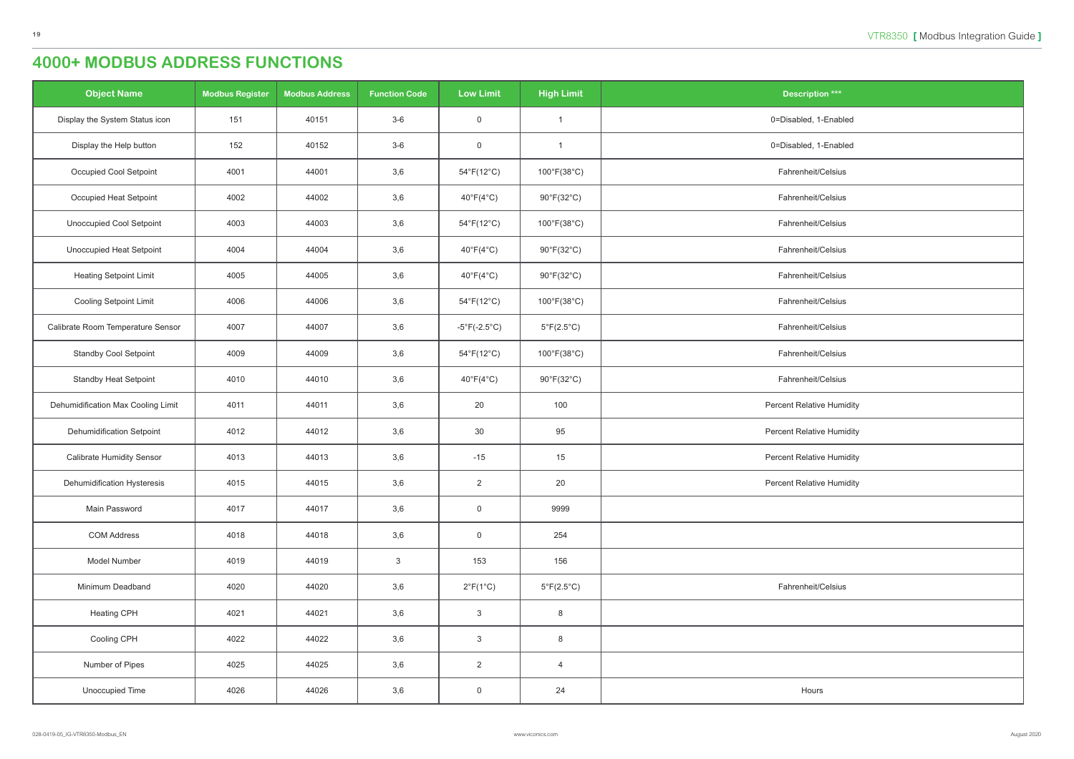| <b>Object Name</b>                 | <b>Modbus Register</b> | <b>Modbus Address</b> | <b>Function Code</b> | <b>Low Limit</b>                  | <b>High Limit</b>               | <b>Description ***</b>           |
|------------------------------------|------------------------|-----------------------|----------------------|-----------------------------------|---------------------------------|----------------------------------|
| Display the System Status icon     | 151                    | 40151                 | $3-6$                | $\overline{0}$                    | -1                              | 0=Disabled, 1-Enabled            |
| Display the Help button            | 152                    | 40152                 | $3-6$                | $\mathsf 0$                       | $\overline{1}$                  | 0=Disabled, 1-Enabled            |
| Occupied Cool Setpoint             | 4001                   | 44001                 | 3,6                  | $54^{\circ}F(12^{\circ}C)$        | 100°F(38°C)                     | Fahrenheit/Celsius               |
| Occupied Heat Setpoint             | 4002                   | 44002                 | 3,6                  | $40^{\circ}F(4^{\circ}C)$         | $90^{\circ}$ F(32 $^{\circ}$ C) | Fahrenheit/Celsius               |
| <b>Unoccupied Cool Setpoint</b>    | 4003                   | 44003                 | 3,6                  | $54^{\circ}F(12^{\circ}C)$        | 100°F(38°C)                     | Fahrenheit/Celsius               |
| <b>Unoccupied Heat Setpoint</b>    | 4004                   | 44004                 | 3,6                  | $40^{\circ}F(4^{\circ}C)$         | $90^{\circ}$ F(32 $^{\circ}$ C) | Fahrenheit/Celsius               |
| <b>Heating Setpoint Limit</b>      | 4005                   | 44005                 | 3,6                  | $40^{\circ}$ F(4 $^{\circ}$ C)    | $90^{\circ}$ F(32 $^{\circ}$ C) | Fahrenheit/Celsius               |
| <b>Cooling Setpoint Limit</b>      | 4006                   | 44006                 | 3,6                  | $54^{\circ}F(12^{\circ}C)$        | 100°F(38°C)                     | Fahrenheit/Celsius               |
| Calibrate Room Temperature Sensor  | 4007                   | 44007                 | 3,6                  | $-5^{\circ}$ F(-2.5 $^{\circ}$ C) | $5^{\circ}F(2.5^{\circ}C)$      | Fahrenheit/Celsius               |
| <b>Standby Cool Setpoint</b>       | 4009                   | 44009                 | 3,6                  | $54^{\circ}F(12^{\circ}C)$        | 100°F(38°C)                     | Fahrenheit/Celsius               |
| <b>Standby Heat Setpoint</b>       | 4010                   | 44010                 | 3,6                  | $40^{\circ}F(4^{\circ}C)$         | $90^{\circ}$ F(32 $^{\circ}$ C) | Fahrenheit/Celsius               |
| Dehumidification Max Cooling Limit | 4011                   | 44011                 | 3,6                  | 20                                | 100                             | <b>Percent Relative Humidity</b> |
| <b>Dehumidification Setpoint</b>   | 4012                   | 44012                 | 3,6                  | 30                                | 95                              | <b>Percent Relative Humidity</b> |
| <b>Calibrate Humidity Sensor</b>   | 4013                   | 44013                 | 3,6                  | $-15$                             | 15                              | <b>Percent Relative Humidity</b> |
| Dehumidification Hysteresis        | 4015                   | 44015                 | 3,6                  | 2                                 | 20                              | Percent Relative Humidity        |
| Main Password                      | 4017                   | 44017                 | 3,6                  | $\mathsf{O}$                      | 9999                            |                                  |
| <b>COM Address</b>                 | 4018                   | 44018                 | 3,6                  | $\overline{0}$                    | 254                             |                                  |
| Model Number                       | 4019                   | 44019                 | $\mathbf{3}$         | 153                               | 156                             |                                  |
| Minimum Deadband                   | 4020                   | 44020                 | 3,6                  | $2^{\circ}F(1^{\circ}C)$          | $5^{\circ}F(2.5^{\circ}C)$      | Fahrenheit/Celsius               |
| <b>Heating CPH</b>                 | 4021                   | 44021                 | 3,6                  | $\mathbf{3}$                      | 8                               |                                  |
| Cooling CPH                        | 4022                   | 44022                 | 3,6                  | $\mathbf{3}$                      | 8                               |                                  |
| Number of Pipes                    | 4025                   | 44025                 | 3,6                  | $\overline{2}$                    | $\overline{4}$                  |                                  |
| Unoccupied Time                    | 4026                   | 44026                 | 3,6                  | $\overline{0}$                    | 24                              | Hours                            |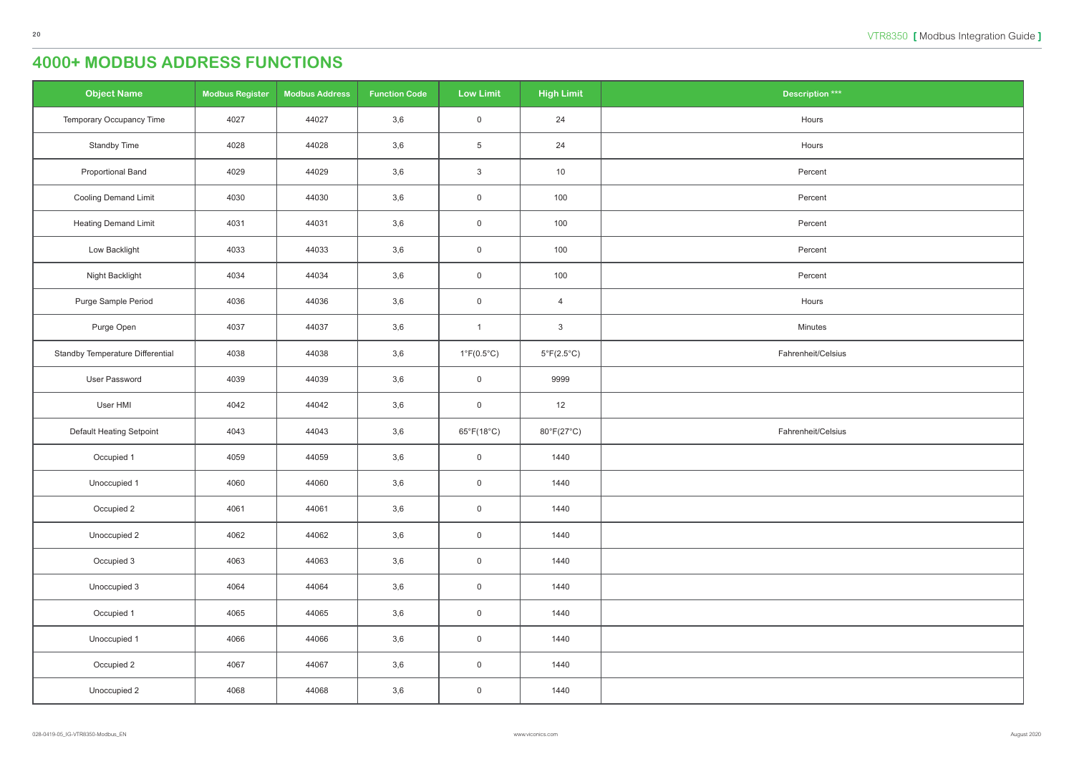| <b>Object Name</b>               | <b>Modbus Register</b> | <b>Modbus Address</b> | <b>Function Code</b> | <b>Low Limit</b>           | <b>High Limit</b>          | <b>Description ***</b> |
|----------------------------------|------------------------|-----------------------|----------------------|----------------------------|----------------------------|------------------------|
| Temporary Occupancy Time         | 4027                   | 44027                 | 3,6                  | $\overline{0}$             | 24                         | Hours                  |
| Standby Time                     | 4028                   | 44028                 | 3,6                  | $5\phantom{.0}$            | 24                         | Hours                  |
| <b>Proportional Band</b>         | 4029                   | 44029                 | 3,6                  | $\mathbf{3}$               | 10                         | Percent                |
| <b>Cooling Demand Limit</b>      | 4030                   | 44030                 | 3,6                  | $\mathsf 0$                | 100                        | Percent                |
| <b>Heating Demand Limit</b>      | 4031                   | 44031                 | 3,6                  | $\overline{0}$             | 100                        | Percent                |
| Low Backlight                    | 4033                   | 44033                 | 3,6                  | $\overline{0}$             | 100                        | Percent                |
| Night Backlight                  | 4034                   | 44034                 | 3,6                  | $\,0\,$                    | 100                        | Percent                |
| Purge Sample Period              | 4036                   | 44036                 | 3,6                  | $\mathsf 0$                | $\overline{4}$             | Hours                  |
| Purge Open                       | 4037                   | 44037                 | 3,6                  | $\overline{1}$             | $\mathbf{3}$               | Minutes                |
| Standby Temperature Differential | 4038                   | 44038                 | 3,6                  | $1^{\circ}F(0.5^{\circ}C)$ | $5^{\circ}F(2.5^{\circ}C)$ | Fahrenheit/Celsius     |
| User Password                    | 4039                   | 44039                 | 3,6                  | $\overline{0}$             | 9999                       |                        |
| User HMI                         | 4042                   | 44042                 | 3,6                  | $\,0\,$                    | 12                         |                        |
| Default Heating Setpoint         | 4043                   | 44043                 | 3,6                  | $65^{\circ}F(18^{\circ}C)$ | 80°F(27°C)                 | Fahrenheit/Celsius     |
| Occupied 1                       | 4059                   | 44059                 | 3,6                  | $\mathsf 0$                | 1440                       |                        |
| Unoccupied 1                     | 4060                   | 44060                 | 3,6                  | $\overline{0}$             | 1440                       |                        |
| Occupied 2                       | 4061                   | 44061                 | 3,6                  | $\mathsf 0$                | 1440                       |                        |
| Unoccupied 2                     | 4062                   | 44062                 | 3,6                  | $\mathsf 0$                | 1440                       |                        |
| Occupied 3                       | 4063                   | 44063                 | 3,6                  | $\mathsf 0$                | 1440                       |                        |
| Unoccupied 3                     | 4064                   | 44064                 | 3,6                  | $\mathsf 0$                | 1440                       |                        |
| Occupied 1                       | 4065                   | 44065                 | 3,6                  | $\overline{0}$             | 1440                       |                        |
| Unoccupied 1                     | 4066                   | 44066                 | 3,6                  | $\mathsf 0$                | 1440                       |                        |
| Occupied 2                       | 4067                   | 44067                 | 3,6                  | $\mathsf 0$                | 1440                       |                        |
| Unoccupied 2                     | 4068                   | 44068                 | 3,6                  | $\overline{0}$             | 1440                       |                        |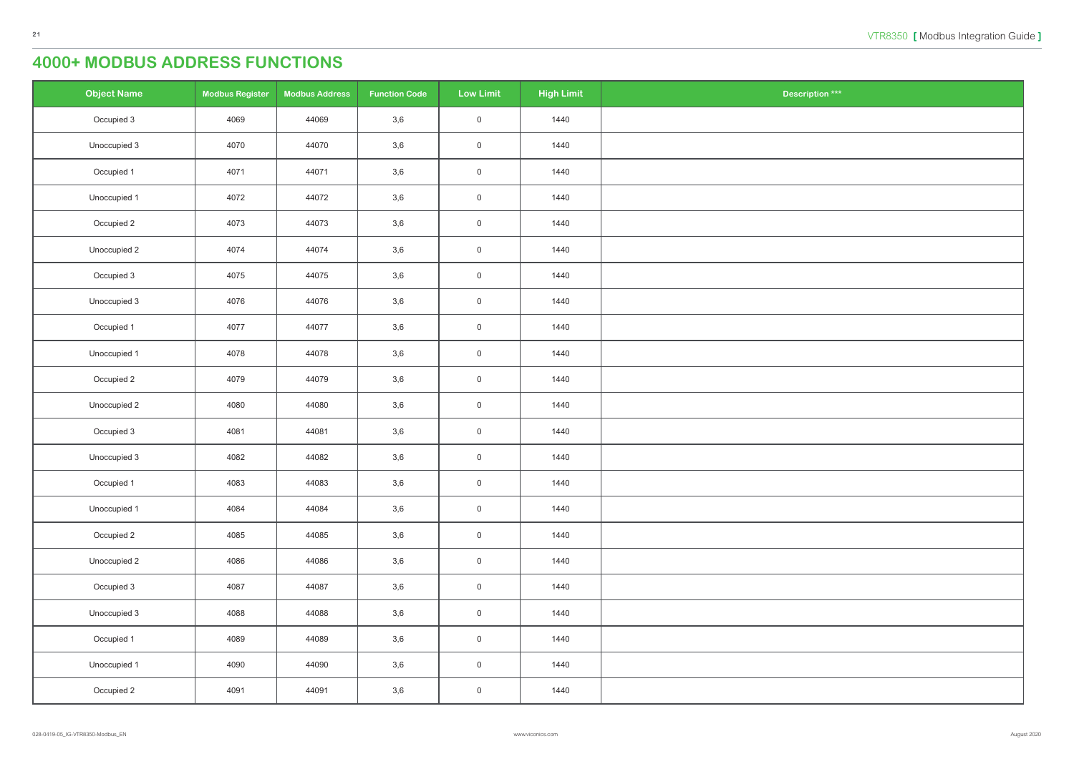| $\overline{\text{ation}}$ *** |  |
|-------------------------------|--|
|                               |  |
|                               |  |
|                               |  |
|                               |  |
|                               |  |
|                               |  |
|                               |  |
|                               |  |
|                               |  |
|                               |  |
|                               |  |
|                               |  |
|                               |  |
|                               |  |
|                               |  |
|                               |  |
|                               |  |
|                               |  |
|                               |  |
|                               |  |
|                               |  |
|                               |  |
|                               |  |
|                               |  |
|                               |  |
|                               |  |
|                               |  |
|                               |  |
|                               |  |
|                               |  |
|                               |  |
|                               |  |
|                               |  |
|                               |  |
|                               |  |
|                               |  |
|                               |  |
|                               |  |

| <b>Object Name</b> | <b>Modbus Register</b> | <b>Modbus Address</b> | <b>Function Code</b> | <b>Low Limit</b>    | <b>High Limit</b> | Description *** |
|--------------------|------------------------|-----------------------|----------------------|---------------------|-------------------|-----------------|
| Occupied 3         | 4069                   | 44069                 | 3,6                  | $\overline{0}$      | 1440              |                 |
| Unoccupied 3       | 4070                   | 44070                 | 3,6                  | $\mathsf{O}\xspace$ | 1440              |                 |
| Occupied 1         | 4071                   | 44071                 | 3,6                  | $\mathsf{O}\xspace$ | 1440              |                 |
| Unoccupied 1       | 4072                   | 44072                 | 3,6                  | $\mathsf{O}$        | 1440              |                 |
| Occupied 2         | 4073                   | 44073                 | 3,6                  | $\mathsf{O}\xspace$ | 1440              |                 |
| Unoccupied 2       | 4074                   | 44074                 | 3,6                  | $\mathsf{O}$        | 1440              |                 |
| Occupied 3         | 4075                   | 44075                 | 3,6                  | $\mathsf{O}\xspace$ | 1440              |                 |
| Unoccupied 3       | 4076                   | 44076                 | 3,6                  | $\mathsf{O}\xspace$ | 1440              |                 |
| Occupied 1         | 4077                   | 44077                 | 3,6                  | $\mathsf{O}$        | 1440              |                 |
| Unoccupied 1       | 4078                   | 44078                 | 3,6                  | $\mathsf{O}\xspace$ | 1440              |                 |
| Occupied 2         | 4079                   | 44079                 | 3,6                  | $\mathsf{O}$        | 1440              |                 |
| Unoccupied 2       | 4080                   | 44080                 | 3,6                  | $\mathsf{O}\xspace$ | 1440              |                 |
| Occupied 3         | 4081                   | 44081                 | 3,6                  | $\mathsf{O}\xspace$ | 1440              |                 |
| Unoccupied 3       | 4082                   | 44082                 | 3,6                  | $\mathsf{O}$        | 1440              |                 |
| Occupied 1         | 4083                   | 44083                 | 3,6                  | $\overline{0}$      | 1440              |                 |
| Unoccupied 1       | 4084                   | 44084                 | 3,6                  | $\mathsf{O}\xspace$ | 1440              |                 |
| Occupied 2         | 4085                   | 44085                 | 3,6                  | $\mathsf{O}\xspace$ | 1440              |                 |
| Unoccupied 2       | 4086                   | 44086                 | 3,6                  | $\mathsf{O}\xspace$ | 1440              |                 |
| Occupied 3         | 4087                   | 44087                 | 3,6                  | $\mathsf{O}\xspace$ | 1440              |                 |
| Unoccupied 3       | 4088                   | 44088                 | 3,6                  | $\mathsf{O}\xspace$ | 1440              |                 |
| Occupied 1         | 4089                   | 44089                 | 3,6                  | $\mathsf{O}\xspace$ | 1440              |                 |
| Unoccupied 1       | 4090                   | 44090                 | 3,6                  | $\mathsf{O}\xspace$ | 1440              |                 |
| Occupied 2         | 4091                   | 44091                 | 3,6                  | $\boldsymbol{0}$    | 1440              |                 |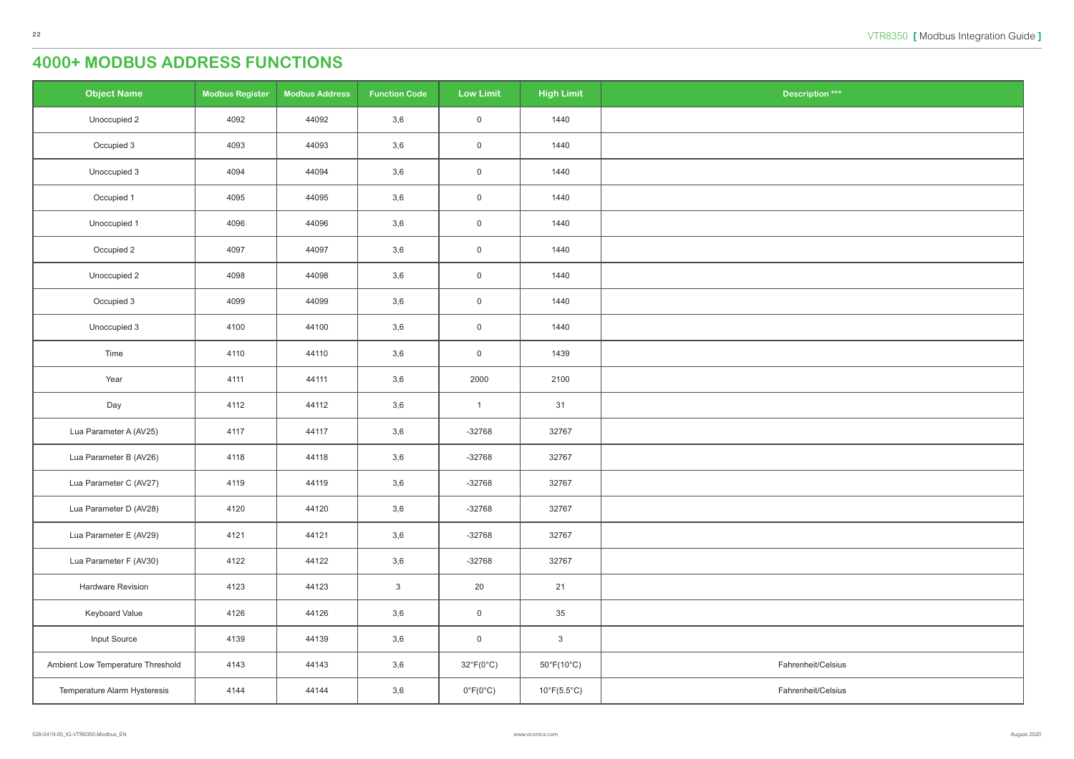| $\frac{1}{\pi}$ tion *** |
|--------------------------|
|                          |
|                          |
|                          |
|                          |
|                          |
|                          |
|                          |
|                          |
|                          |
|                          |
|                          |
|                          |
|                          |
|                          |
|                          |
|                          |
|                          |
|                          |
|                          |
|                          |
|                          |
|                          |
|                          |
| eit/Celsius              |
| eit/Celsius              |

| <b>Object Name</b>                | <b>Modbus Register</b> | <b>Modbus Address</b> | <b>Function Code</b> | <b>Low Limit</b>          | <b>High Limit</b>               | <b>Description ***</b> |
|-----------------------------------|------------------------|-----------------------|----------------------|---------------------------|---------------------------------|------------------------|
| Unoccupied 2                      | 4092                   | 44092                 | 3,6                  | $\boldsymbol{0}$          | 1440                            |                        |
| Occupied 3                        | 4093                   | 44093                 | 3,6                  | $\boldsymbol{0}$          | 1440                            |                        |
| Unoccupied 3                      | 4094                   | 44094                 | 3,6                  | $\boldsymbol{0}$          | 1440                            |                        |
| Occupied 1                        | 4095                   | 44095                 | 3,6                  | $\boldsymbol{0}$          | 1440                            |                        |
| Unoccupied 1                      | 4096                   | 44096                 | 3,6                  | $\,0\,$                   | 1440                            |                        |
| Occupied 2                        | 4097                   | 44097                 | 3,6                  | $\boldsymbol{0}$          | 1440                            |                        |
| Unoccupied 2                      | 4098                   | 44098                 | 3,6                  | $\mathsf{O}$              | 1440                            |                        |
| Occupied 3                        | 4099                   | 44099                 | 3,6                  | $\boldsymbol{0}$          | 1440                            |                        |
| Unoccupied 3                      | 4100                   | 44100                 | 3,6                  | $\mathsf{O}$              | 1440                            |                        |
| Time                              | 4110                   | 44110                 | 3,6                  | $\,0\,$                   | 1439                            |                        |
| Year                              | 4111                   | 44111                 | 3,6                  | 2000                      | 2100                            |                        |
| Day                               | 4112                   | 44112                 | 3,6                  | $\mathbf{1}$              | 31                              |                        |
| Lua Parameter A (AV25)            | 4117                   | 44117                 | 3,6                  | $-32768$                  | 32767                           |                        |
| Lua Parameter B (AV26)            | 4118                   | 44118                 | 3,6                  | $-32768$                  | 32767                           |                        |
| Lua Parameter C (AV27)            | 4119                   | 44119                 | 3,6                  | $-32768$                  | 32767                           |                        |
| Lua Parameter D (AV28)            | 4120                   | 44120                 | 3,6                  | $-32768$                  | 32767                           |                        |
| Lua Parameter E (AV29)            | 4121                   | 44121                 | 3,6                  | $-32768$                  | 32767                           |                        |
| Lua Parameter F (AV30)            | 4122                   | 44122                 | 3,6                  | $-32768$                  | 32767                           |                        |
| Hardware Revision                 | 4123                   | 44123                 | $\mathbf{3}$         | 20                        | 21                              |                        |
| Keyboard Value                    | 4126                   | 44126                 | 3,6                  | $\mathsf 0$               | 35                              |                        |
| Input Source                      | 4139                   | 44139                 | 3,6                  | $\mathsf{O}$              | $\ensuremath{\mathsf{3}}$       |                        |
| Ambient Low Temperature Threshold | 4143                   | 44143                 | 3,6                  | $32^{\circ}F(0^{\circ}C)$ | $50^{\circ}$ F(10 $^{\circ}$ C) | Fahrenheit/Celsius     |
| Temperature Alarm Hysteresis      | 4144                   | 44144                 | 3,6                  | $0^{\circ}F(0^{\circ}C)$  | $10^{\circ}F(5.5^{\circ}C)$     | Fahrenheit/Celsius     |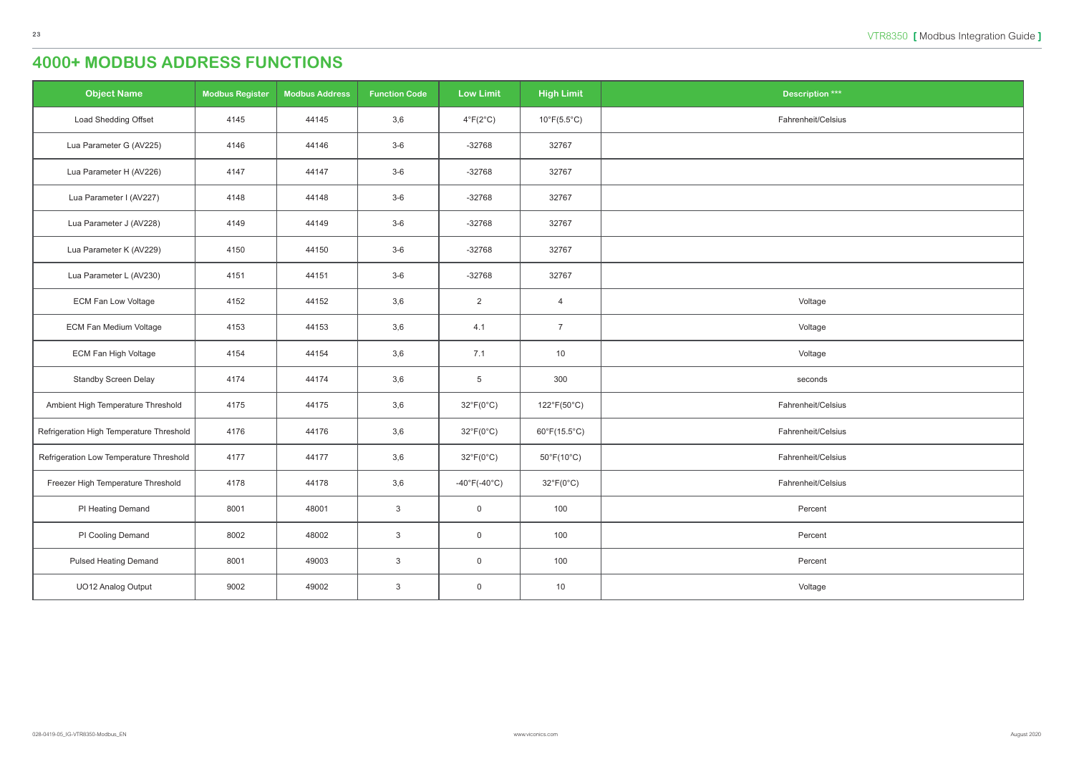| <b>Object Name</b>                       | <b>Modbus Register</b> | <b>Modbus Address</b> | <b>Function Code</b> | <b>Low Limit</b>          | <b>High Limit</b>                | <b>Description ***</b> |
|------------------------------------------|------------------------|-----------------------|----------------------|---------------------------|----------------------------------|------------------------|
| Load Shedding Offset                     | 4145                   | 44145                 | 3,6                  | $4^{\circ}F(2^{\circ}C)$  | $10^{\circ}$ F(5.5 $^{\circ}$ C) | Fahrenheit/Celsius     |
| Lua Parameter G (AV225)                  | 4146                   | 44146                 | $3-6$                | $-32768$                  | 32767                            |                        |
| Lua Parameter H (AV226)                  | 4147                   | 44147                 | $3-6$                | $-32768$                  | 32767                            |                        |
| Lua Parameter I (AV227)                  | 4148                   | 44148                 | $3-6$                | $-32768$                  | 32767                            |                        |
| Lua Parameter J (AV228)                  | 4149                   | 44149                 | $3-6$                | $-32768$                  | 32767                            |                        |
| Lua Parameter K (AV229)                  | 4150                   | 44150                 | $3-6$                | $-32768$                  | 32767                            |                        |
| Lua Parameter L (AV230)                  | 4151                   | 44151                 | $3-6$                | $-32768$                  | 32767                            |                        |
| <b>ECM Fan Low Voltage</b>               | 4152                   | 44152                 | 3,6                  | $\overline{2}$            | $\overline{4}$                   | Voltage                |
| <b>ECM Fan Medium Voltage</b>            | 4153                   | 44153                 | 3,6                  | 4.1                       | $\overline{7}$                   | Voltage                |
| ECM Fan High Voltage                     | 4154                   | 44154                 | 3,6                  | 7.1                       | 10                               | Voltage                |
| <b>Standby Screen Delay</b>              | 4174                   | 44174                 | 3,6                  | $5\phantom{.0}$           | 300                              | seconds                |
| Ambient High Temperature Threshold       | 4175                   | 44175                 | 3,6                  | $32^{\circ}F(0^{\circ}C)$ | 122°F(50°C)                      | Fahrenheit/Celsius     |
| Refrigeration High Temperature Threshold | 4176                   | 44176                 | 3,6                  | $32^{\circ}F(0^{\circ}C)$ | $60^{\circ}F(15.5^{\circ}C)$     | Fahrenheit/Celsius     |
| Refrigeration Low Temperature Threshold  | 4177                   | 44177                 | 3,6                  | $32^{\circ}F(0^{\circ}C)$ | $50^{\circ}$ F(10 $^{\circ}$ C)  | Fahrenheit/Celsius     |
| Freezer High Temperature Threshold       | 4178                   | 44178                 | 3,6                  | -40°F(-40°C)              | $32^{\circ}F(0^{\circ}C)$        | Fahrenheit/Celsius     |
| PI Heating Demand                        | 8001                   | 48001                 | $\mathbf{3}$         | $\overline{0}$            | 100                              | Percent                |
| PI Cooling Demand                        | 8002                   | 48002                 | $\mathbf{3}$         | $\overline{0}$            | 100                              | Percent                |
| <b>Pulsed Heating Demand</b>             | 8001                   | 49003                 | $\mathbf{3}$         | $\overline{0}$            | 100                              | Percent                |
| UO12 Analog Output                       | 9002                   | 49002                 | $\mathbf{3}$         | $\overline{0}$            | 10                               | Voltage                |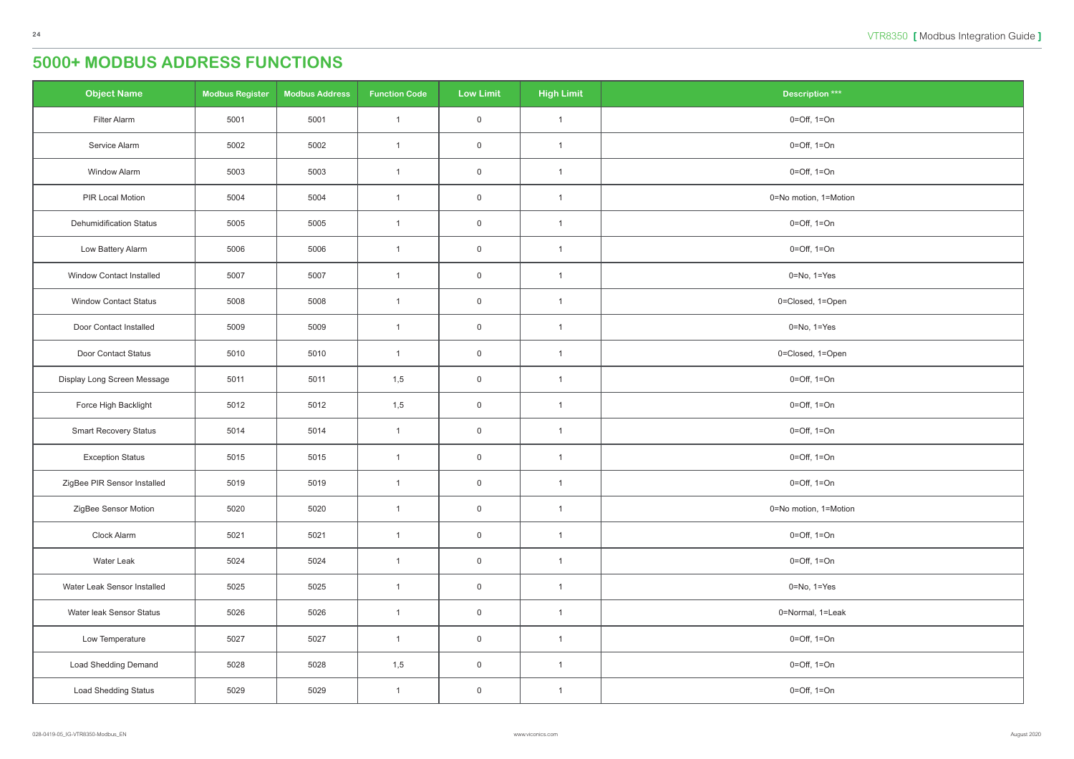<span id="page-23-0"></span>

| <b>Object Name</b>              | <b>Modbus Register</b> | <b>Modbus Address</b> | <b>Function Code</b> | <b>Low Limit</b> | <b>High Limit</b> | <b>Description ***</b>          |
|---------------------------------|------------------------|-----------------------|----------------------|------------------|-------------------|---------------------------------|
| Filter Alarm                    | 5001                   | 5001                  | $\mathbf{1}$         | $\overline{0}$   | $\overline{1}$    | $0 = \text{Off}, 1 = \text{On}$ |
| Service Alarm                   | 5002                   | 5002                  | $\mathbf{1}$         | $\mathsf 0$      | $\mathbf{1}$      | $0 = \text{Off}, 1 = \text{On}$ |
| <b>Window Alarm</b>             | 5003                   | 5003                  | $\mathbf{1}$         | $\overline{0}$   | $\mathbf{1}$      | $0 = \text{Off}, 1 = \text{On}$ |
| PIR Local Motion                | 5004                   | 5004                  | $\mathbf{1}$         | $\overline{0}$   | $\mathbf{1}$      | 0=No motion, 1=Motion           |
| <b>Dehumidification Status</b>  | 5005                   | 5005                  | $\mathbf{1}$         | $\mathsf 0$      | $\mathbf{1}$      | $0 = \text{Off}, 1 = \text{On}$ |
| Low Battery Alarm               | 5006                   | 5006                  | $\mathbf{1}$         | $\overline{0}$   | $\mathbf{1}$      | $0 = \text{Off}, 1 = \text{On}$ |
| <b>Window Contact Installed</b> | 5007                   | 5007                  | $\mathbf{1}$         | $\mathsf 0$      | $\overline{1}$    | $0 = No, 1 = Yes$               |
| <b>Window Contact Status</b>    | 5008                   | 5008                  | $\mathbf{1}$         | $\mathsf 0$      | $\mathbf{1}$      | 0=Closed, 1=Open                |
| Door Contact Installed          | 5009                   | 5009                  | $\mathbf{1}$         | $\overline{0}$   | $\mathbf{1}$      | $0 = No, 1 = Yes$               |
| Door Contact Status             | 5010                   | 5010                  | $\overline{1}$       | $\overline{0}$   | $\mathbf{1}$      | 0=Closed, 1=Open                |
| Display Long Screen Message     | 5011                   | 5011                  | 1,5                  | $\overline{0}$   | $\mathbf{1}$      | $0 = \text{Off}, 1 = \text{On}$ |
| Force High Backlight            | 5012                   | 5012                  | 1,5                  | $\mathsf 0$      | $\mathbf{1}$      | $0 = \text{Off}, 1 = \text{On}$ |
| <b>Smart Recovery Status</b>    | 5014                   | 5014                  | $\mathbf{1}$         | $\overline{0}$   | $\overline{1}$    | $0 = \text{Off}, 1 = \text{On}$ |
| <b>Exception Status</b>         | 5015                   | 5015                  | $\mathbf{1}$         | $\overline{0}$   | $\mathbf{1}$      | $0 = \text{Off}, 1 = \text{On}$ |
| ZigBee PIR Sensor Installed     | 5019                   | 5019                  | $\overline{1}$       | $\mathsf 0$      | $\overline{1}$    | $0 = \text{Off}, 1 = \text{On}$ |
| ZigBee Sensor Motion            | 5020                   | 5020                  | $\mathbf{1}$         | $\mathsf 0$      | $\overline{1}$    | 0=No motion, 1=Motion           |
| Clock Alarm                     | 5021                   | 5021                  | $\mathbf{1}$         | $\mathsf 0$      | $\mathbf{1}$      | $0 = \text{Off}, 1 = \text{On}$ |
| Water Leak                      | 5024                   | 5024                  | $\mathbf{1}$         | $\mathsf 0$      | $\overline{1}$    | $0 = \text{Off}, 1 = \text{On}$ |
| Water Leak Sensor Installed     | 5025                   | 5025                  | $\mathbf{1}$         | $\overline{0}$   | $\mathbf{1}$      | $0 = No, 1 = Yes$               |
| Water leak Sensor Status        | 5026                   | 5026                  | $\mathbf{1}$         | $\mathsf 0$      | $\mathbf{1}$      | 0=Normal, 1=Leak                |
| Low Temperature                 | 5027                   | 5027                  | $\mathbf{1}$         | $\mathsf 0$      | $\overline{1}$    | $0 = \text{Off}, 1 = \text{On}$ |
| <b>Load Shedding Demand</b>     | 5028                   | 5028                  | 1,5                  | $\mathsf 0$      | $\overline{1}$    | $0 = \text{Off}, 1 = \text{On}$ |
| Load Shedding Status            | 5029                   | 5029                  | $\mathbf{1}$         | $\mathbf 0$      | $\mathbf{1}$      | $0 = \text{Off}, 1 = \text{On}$ |